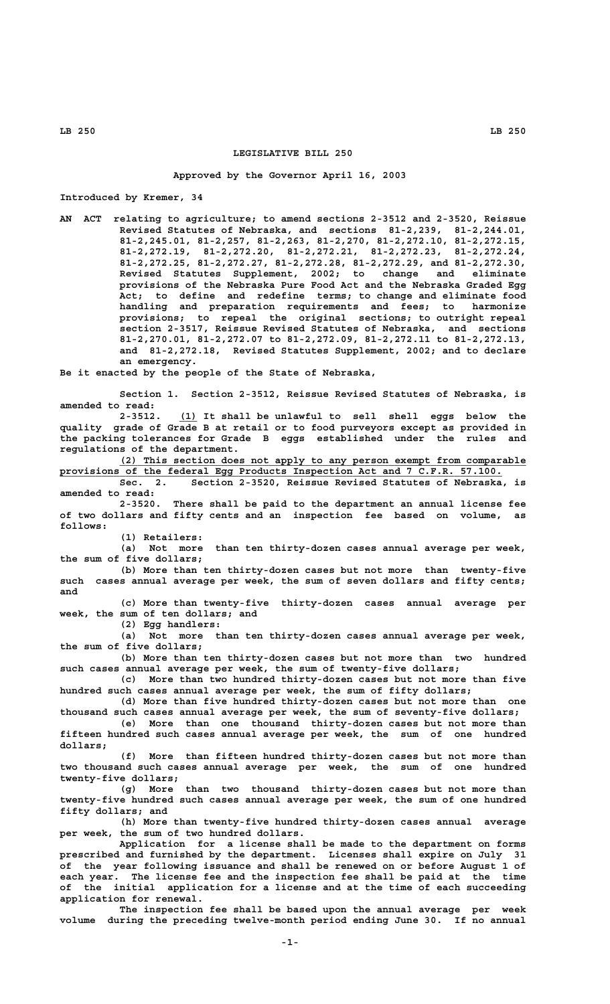## **LEGISLATIVE BILL 250**

## **Approved by the Governor April 16, 2003**

**Introduced by Kremer, 34**

**AN ACT relating to agriculture; to amend sections 2-3512 and 2-3520, Reissue Revised Statutes of Nebraska, and sections 81-2,239, 81-2,244.01, 81-2,245.01, 81-2,257, 81-2,263, 81-2,270, 81-2,272.10, 81-2,272.15, 81-2,272.19, 81-2,272.20, 81-2,272.21, 81-2,272.23, 81-2,272.24, 81-2,272.25, 81-2,272.27, 81-2,272.28, 81-2,272.29, and 81-2,272.30, Revised Statutes Supplement, 2002; to change and eliminate provisions of the Nebraska Pure Food Act and the Nebraska Graded Egg Act; to define and redefine terms; to change and eliminate food handling and preparation requirements and fees; to harmonize provisions; to repeal the original sections; to outright repeal section 2-3517, Reissue Revised Statutes of Nebraska, and sections 81-2,270.01, 81-2,272.07 to 81-2,272.09, 81-2,272.11 to 81-2,272.13, and 81-2,272.18, Revised Statutes Supplement, 2002; and to declare an emergency.**

**Be it enacted by the people of the State of Nebraska,**

**Section 1. Section 2-3512, Reissue Revised Statutes of Nebraska, is amended to read:**

 **\_\_\_ 2-3512. (1) It shall be unlawful to sell shell eggs below the quality grade of Grade B at retail or to food purveyors except as provided in the packing tolerances for Grade B eggs established under the rules and regulations of the department.**

 **\_\_\_\_\_\_\_\_\_\_\_\_\_\_\_\_\_\_\_\_\_\_\_\_\_\_\_\_\_\_\_\_\_\_\_\_\_\_\_\_\_\_\_\_\_\_\_\_\_\_\_\_\_\_\_\_\_\_\_\_\_\_\_\_\_\_\_\_ (2) This section does not apply to any person exempt from comparable \_\_\_\_\_\_\_\_\_\_\_\_\_\_\_\_\_\_\_\_\_\_\_\_\_\_\_\_\_\_\_\_\_\_\_\_\_\_\_\_\_\_\_\_\_\_\_\_\_\_\_\_\_\_\_\_\_\_\_\_\_\_\_\_\_\_\_\_\_\_\_\_\_\_ provisions of the federal Egg Products Inspection Act and 7 C.F.R. 57.100.**

**Sec. 2. Section 2-3520, Reissue Revised Statutes of Nebraska, is amended to read:**

**2-3520. There shall be paid to the department an annual license fee of two dollars and fifty cents and an inspection fee based on volume, as follows:**

 **(1) Retailers:**

**(a) Not more than ten thirty-dozen cases annual average per week, the sum of five dollars;**

**(b) More than ten thirty-dozen cases but not more than twenty-five such cases annual average per week, the sum of seven dollars and fifty cents; and**

**(c) More than twenty-five thirty-dozen cases annual average per week, the sum of ten dollars; and**

**(2) Egg handlers:**

**(a) Not more than ten thirty-dozen cases annual average per week, the sum of five dollars;**

**(b) More than ten thirty-dozen cases but not more than two hundred such cases annual average per week, the sum of twenty-five dollars;**

**(c) More than two hundred thirty-dozen cases but not more than five hundred such cases annual average per week, the sum of fifty dollars;**

**(d) More than five hundred thirty-dozen cases but not more than one thousand such cases annual average per week, the sum of seventy-five dollars; (e) More than one thousand thirty-dozen cases but not more than**

**fifteen hundred such cases annual average per week, the sum of one hundred dollars;**

**(f) More than fifteen hundred thirty-dozen cases but not more than two thousand such cases annual average per week, the sum of one hundred twenty-five dollars;**

**(g) More than two thousand thirty-dozen cases but not more than twenty-five hundred such cases annual average per week, the sum of one hundred fifty dollars; and**

**(h) More than twenty-five hundred thirty-dozen cases annual average per week, the sum of two hundred dollars.**

**Application for a license shall be made to the department on forms prescribed and furnished by the department. Licenses shall expire on July 31 of the year following issuance and shall be renewed on or before August 1 of each year. The license fee and the inspection fee shall be paid at the time of the initial application for a license and at the time of each succeeding application for renewal.**

**The inspection fee shall be based upon the annual average per week volume during the preceding twelve-month period ending June 30. If no annual**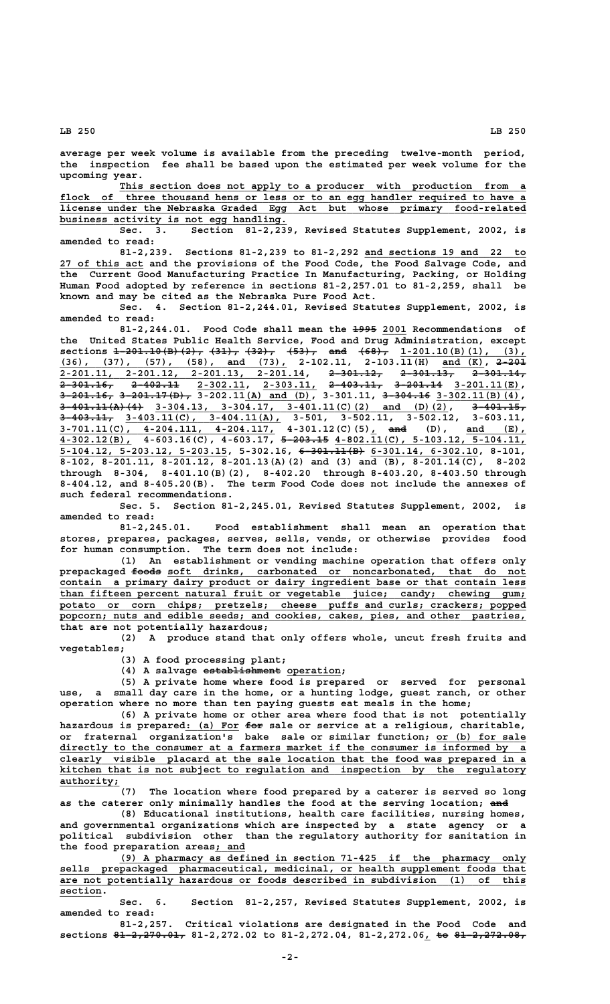**average per week volume is available from the preceding twelve-month period, the inspection fee shall be based upon the estimated per week volume for the upcoming year.**

This section does not apply to a producer with production from flock of three thousand hens or less or to an egg handler required to have a  **\_\_\_\_\_\_\_\_\_\_\_\_\_\_\_\_\_\_\_\_\_\_\_\_\_\_\_\_\_\_\_\_\_\_\_\_\_\_\_\_\_\_\_\_\_\_\_\_\_\_\_\_\_\_\_\_\_\_\_\_\_\_\_\_\_\_\_\_\_\_\_\_\_\_\_\_\_\_ license under the Nebraska Graded Egg Act but whose primary food-related \_\_\_\_\_\_\_\_\_\_\_\_\_\_\_\_\_\_\_\_\_\_\_\_\_\_\_\_\_\_\_\_\_\_\_\_\_\_ business activity is not egg handling.**

**Sec. 3. Section 81-2,239, Revised Statutes Supplement, 2002, is amended to read:**

81-2,239. Sections 81-2,239 to 81-2,292 and sections 19 and 22 to  **\_\_\_\_\_\_\_\_\_\_\_\_\_\_ 27 of this act and the provisions of the Food Code, the Food Salvage Code, and the Current Good Manufacturing Practice In Manufacturing, Packing, or Holding Human Food adopted by reference in sections 81-2,257.01 to 81-2,259, shall be known and may be cited as the Nebraska Pure Food Act.**

**Sec. 4. Section 81-2,244.01, Revised Statutes Supplement, 2002, is amended to read:**

81-2,244.01. Food Code shall mean the <del>1995</del> 2001 Recommendations of the United States Public Health Service, Food and Drug Administration, except sections  $\frac{1-201.10(B)(2)}{3}$ ,  $\frac{31}{7}$ ,  $\frac{32}{7}$ ,  $\frac{453}{7}$ ,  $\frac{203}{7}$ ,  $\frac{458}{7}$ ,  $\frac{1}{201.10(B)(1)}$ , (3), **sections**  $1-201.10(B)(2)$ ,  $(31)$ ,  $(32)$ ,  $(53)$ , and  $(68)$ ,  $1-201.10(B)(1)$ ,  **\_\_\_\_\_\_\_\_\_\_\_\_\_\_\_\_\_\_\_\_\_\_\_\_\_\_\_\_\_\_\_\_\_\_\_\_\_\_ \_\_\_\_\_\_\_ ————— (36), (37), (57), (58), and (73), 2-102.11, 2-103.11(H) and (K), 2-201 2-201.11, 2-201.12, 2-201.13, 2-201.14, 2-301.12, 2-301.13, 2-301.14, \_\_\_\_\_\_\_\_\_\_\_\_\_\_\_\_\_\_\_\_\_\_\_\_\_\_\_\_\_\_\_\_\_\_\_\_\_\_\_\_\_ ————————— ————————— —————————** <del>2-301.16, 2-402.11</del> 2-302.11, 2-303.11, <del>2-403.11, 3-201.14</del> 3-201.11(E), **3-201.16, 3-201.17(D),** 3-202.11(A) and (D), 3-301.11, <del>3-304.16</del> 3-302.11(B)(4),  **—————————————— \_\_\_\_\_\_\_\_\_\_\_\_\_\_\_\_\_\_\_\_\_\_\_\_\_\_\_\_\_\_\_\_\_\_\_\_\_\_\_\_\_\_\_\_\_\_\_\_\_ ————————— 3-401.11(A)(4) 3-304.13, 3-304.17, 3-401.11(C)(2) and (D)(2), 3-401.15, ————————— \_\_\_\_\_\_\_\_\_\_\_\_\_\_\_\_\_\_\_\_\_\_\_\_\_\_ 3-403.11, 3-403.11(C), 3-404.11(A), 3-501, 3-502.11, 3-502.12, 3-603.11, \_\_\_\_\_\_\_\_\_\_\_\_\_\_\_\_\_\_\_\_\_\_\_\_\_\_\_\_\_\_\_\_\_\_\_\_ \_ ——— \_\_\_\_\_\_\_\_\_\_ 3-701.11(C), 4-204.111, 4-204.117, 4-301.12(C)(5), and (D), and (E), 3-701.11(C), 4-204.111, 4-204.117, 4-301.12(C)(5), and (D), and (E), 4-302.12(B), 4-603.16(C), 4-603.17, 5-203.15 4-802.11(C), 5-103.12, 5-104.11, \_\_\_\_\_\_\_\_\_\_\_\_\_\_\_\_\_\_\_\_\_\_\_\_\_\_\_\_ ——————————— \_\_\_\_\_\_\_\_\_\_\_\_\_\_\_\_\_\_ 5-104.12, 5-203.12, 5-203.15, 5-302.16, 6-301.11(B) 6-301.14, 6-302.10, 8-101, 8-102, 8-201.11, 8-201.12, 8-201.13(A)(2) and (3) and (B), 8-201.14(C), 8-202 through 8-304, 8-401.10(B)(2), 8-402.20 through 8-403.20, 8-403.50 through 8-404.12, and 8-405.20(B). The term Food Code does not include the annexes of such federal recommendations.**

**Sec. 5. Section 81-2,245.01, Revised Statutes Supplement, 2002, is amended to read:**

**81-2,245.01. Food establishment shall mean an operation that stores, prepares, packages, serves, sells, vends, or otherwise provides food for human consumption. The term does not include:**

**(1) An establishment or vending machine operation that offers only** prepackaged <del>foods</del> soft drinks, carbonated or noncarbonated, that do not contain a primary dairy product or dairy ingredient base or that contain less  **\_\_\_\_\_\_\_\_\_\_\_\_\_\_\_\_\_\_\_\_\_\_\_\_\_\_\_\_\_\_\_\_\_\_\_\_\_\_\_\_\_\_\_\_\_\_\_\_\_\_\_\_\_\_\_\_\_\_\_\_\_\_\_\_\_\_\_\_\_\_\_\_\_\_\_\_\_\_ than fifteen percent natural fruit or vegetable juice; candy; chewing gum; \_\_\_\_\_\_\_\_\_\_\_\_\_\_\_\_\_\_\_\_\_\_\_\_\_\_\_\_\_\_\_\_\_\_\_\_\_\_\_\_\_\_\_\_\_\_\_\_\_\_\_\_\_\_\_\_\_\_\_\_\_\_\_\_\_\_\_\_\_\_\_\_\_\_\_\_\_\_ potato or corn chips; pretzels; cheese puffs and curls; crackers; popped \_\_\_\_\_\_\_\_\_\_\_\_\_\_\_\_\_\_\_\_\_\_\_\_\_\_\_\_\_\_\_\_\_\_\_\_\_\_\_\_\_\_\_\_\_\_\_\_\_\_\_\_\_\_\_\_\_\_\_\_\_\_\_\_\_\_\_\_\_\_\_\_\_\_\_\_\_\_ popcorn; nuts and edible seeds; and cookies, cakes, pies, and other pastries, that are not potentially hazardous;**

**(2) A produce stand that only offers whole, uncut fresh fruits and vegetables;**

**(3) A food processing plant;**

 **————————————— \_\_\_\_\_\_\_\_\_ (4) A salvage establishment operation;**

**(5) A private home where food is prepared or served for personal use, a small day care in the home, or a hunting lodge, guest ranch, or other operation where no more than ten paying guests eat meals in the home;**

**(6) A private home or other area where food that is not potentially \_\_\_\_\_\_\_\_\_ ——— hazardous is prepared: (a) For for sale or service at a religious, charitable, or fraternal organization's bake sale or similar function; or (b) for sale \_\_\_\_\_\_\_\_\_\_\_\_\_\_\_ \_\_\_\_\_\_\_\_\_\_\_\_\_\_\_\_\_\_\_\_\_\_\_\_\_\_\_\_\_\_\_\_\_\_\_\_\_\_\_\_\_\_\_\_\_\_\_\_\_\_\_\_\_\_\_\_\_\_\_\_\_\_\_\_\_\_\_\_\_\_\_\_\_\_\_\_\_\_ directly to the consumer at a farmers market if the consumer is informed by a \_\_\_\_\_\_\_\_\_\_\_\_\_\_\_\_\_\_\_\_\_\_\_\_\_\_\_\_\_\_\_\_\_\_\_\_\_\_\_\_\_\_\_\_\_\_\_\_\_\_\_\_\_\_\_\_\_\_\_\_\_\_\_\_\_\_\_\_\_\_\_\_\_\_\_\_\_\_ clearly visible placard at the sale location that the food was prepared in a \_\_\_\_\_\_\_\_\_\_\_\_\_\_\_\_\_\_\_\_\_\_\_\_\_\_\_\_\_\_\_\_\_\_\_\_\_\_\_\_\_\_\_\_\_\_\_\_\_\_\_\_\_\_\_\_\_\_\_\_\_\_\_\_\_\_\_\_\_\_\_\_\_\_\_\_\_\_ kitchen that is not subject to regulation and inspection by the regulatory authority;** 

> **(7) The location where food prepared by a caterer is served so long** as the caterer only minimally handles the food at the serving location; and

> **(8) Educational institutions, health care facilities, nursing homes, and governmental organizations which are inspected by a state agency or a political subdivision other than the regulatory authority for sanitation in \_\_\_\_\_ the food preparation areas; and**

 **\_\_\_\_\_\_\_\_\_\_\_\_\_\_\_\_\_\_\_\_\_\_\_\_\_\_\_\_\_\_\_\_\_\_\_\_\_\_\_\_\_\_\_\_\_\_\_\_\_\_\_\_\_\_\_\_\_\_\_\_\_\_\_\_\_\_\_\_ (9) A pharmacy as defined in section 71-425 if the pharmacy only \_\_\_\_\_\_\_\_\_\_\_\_\_\_\_\_\_\_\_\_\_\_\_\_\_\_\_\_\_\_\_\_\_\_\_\_\_\_\_\_\_\_\_\_\_\_\_\_\_\_\_\_\_\_\_\_\_\_\_\_\_\_\_\_\_\_\_\_\_\_\_\_\_\_\_\_\_\_ sells prepackaged pharmaceutical, medicinal, or health supplement foods that** are not potentially hazardous or foods described in subdivision (1) of this section.

> **Sec. 6. Section 81-2,257, Revised Statutes Supplement, 2002, is amended to read:**

> **81-2,257. Critical violations are designated in the Food Code and** sections 81-2,270.01, 81-2,272.02 to 81-2,272.04, 81-2,272.06, to 81-2,272.08,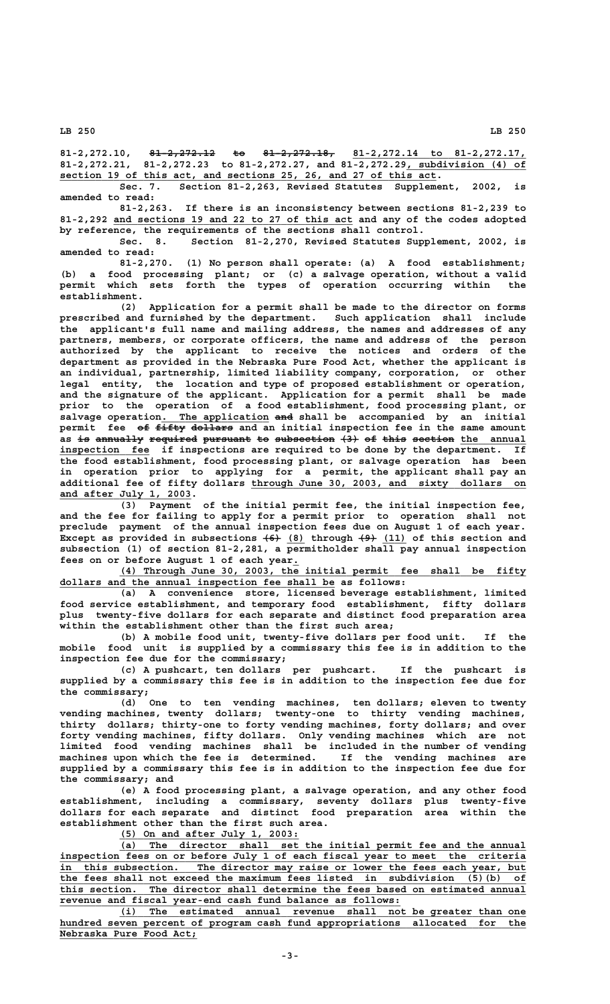81-2,272.10, <del>81-2,272.12</del> to 81-2,272.18, 81-2,272.14 to 81-2,272.17, 81-2,272.21, 81-2,272.23 to 81-2,272.27, and 81<sup>-2</sup>,272.29, subdivision (4) of  **\_\_\_\_\_\_\_\_\_\_\_\_\_\_\_\_\_\_\_\_\_\_\_\_\_\_\_\_\_\_\_\_\_\_\_\_\_\_\_\_\_\_\_\_\_\_\_\_\_\_\_\_\_\_\_\_\_\_\_\_\_\_\_ section 19 of this act, and sections 25, 26, and 27 of this act.**

Sec. 7. Section 81-2,263, Revised Statutes Supplement, 2002, **amended to read:**

**81-2,263. If there is an inconsistency between sections 81-2,239 to \_\_\_\_\_\_\_\_\_\_\_\_\_\_\_\_\_\_\_\_\_\_\_\_\_\_\_\_\_\_\_\_\_\_\_\_\_\_\_\_ 81-2,292 and sections 19 and 22 to 27 of this act and any of the codes adopted by reference, the requirements of the sections shall control.**

Section 81-2,270, Revised Statutes Supplement, 2002, is **amended to read:**

**81-2,270. (1) No person shall operate: (a) A food establishment; (b) a food processing plant; or (c) a salvage operation, without a valid permit which sets forth the types of operation occurring within the establishment.**

**(2) Application for a permit shall be made to the director on forms prescribed and furnished by the department. Such application shall include the applicant's full name and mailing address, the names and addresses of any partners, members, or corporate officers, the name and address of the person authorized by the applicant to receive the notices and orders of the department as provided in the Nebraska Pure Food Act, whether the applicant is an individual, partnership, limited liability company, corporation, or other legal entity, the location and type of proposed establishment or operation, and the signature of the applicant. Application for a permit shall be made prior to the operation of a food establishment, food processing plant, or** salvage operation. The application and shall be accompanied by an initial permit fee of fifty dollars and an initial inspection fee in the same amount as is annually required pursuant to subsection  $(3)$  of this section the annual inspection fee if inspections are required to be done by the department. If **the food establishment, food processing plant, or salvage operation has been in operation prior to applying for a permit, the applicant shall pay an \_\_\_\_\_\_\_\_\_\_\_\_\_\_\_\_\_\_\_\_\_\_\_\_\_\_\_\_\_\_\_\_\_\_\_\_\_\_\_\_\_\_\_\_\_\_ additional fee of fifty dollars through June 30, 2003, and sixty dollars on \_\_\_\_\_\_\_\_\_\_\_\_\_\_\_\_\_\_\_\_\_\_ and after July 1, 2003.**

**(3) Payment of the initial permit fee, the initial inspection fee, and the fee for failing to apply for a permit prior to operation shall not preclude payment of the annual inspection fees due on August 1 of each year.** Except as provided in subsections  $(6)$  (8) through  $(9)$  (11) of this section and **subsection (1) of section 81-2,281, a permitholder shall pay annual inspection \_ fees on or before August 1 of each year.**

 **\_\_\_\_\_\_\_\_\_\_\_\_\_\_\_\_\_\_\_\_\_\_\_\_\_\_\_\_\_\_\_\_\_\_\_\_\_\_\_\_\_\_\_\_\_\_\_\_\_\_\_\_\_\_\_\_\_\_\_\_\_\_\_\_\_\_\_\_ (4) Through June 30, 2003, the initial permit fee shall be fifty \_\_\_\_\_\_\_\_\_\_\_\_\_\_\_\_\_\_\_\_\_\_\_\_\_\_\_\_\_\_\_\_\_\_\_\_\_\_\_\_\_\_\_\_\_\_ dollars and the annual inspection fee shall be as follows:**

**(a) A convenience store, licensed beverage establishment, limited food service establishment, and temporary food establishment, fifty dollars plus twenty-five dollars for each separate and distinct food preparation area within the establishment other than the first such area;**

**(b) A mobile food unit, twenty-five dollars per food unit. If the mobile food unit is supplied by a commissary this fee is in addition to the inspection fee due for the commissary;**

**(c) A pushcart, ten dollars per pushcart. If the pushcart is supplied by a commissary this fee is in addition to the inspection fee due for the commissary;**

**(d) One to ten vending machines, ten dollars; eleven to twenty vending machines, twenty dollars; twenty-one to thirty vending machines, thirty dollars; thirty-one to forty vending machines, forty dollars; and over forty vending machines, fifty dollars. Only vending machines which are not limited food vending machines shall be included in the number of vending machines upon which the fee is determined. If the vending machines are supplied by a commissary this fee is in addition to the inspection fee due for the commissary; and**

**(e) A food processing plant, a salvage operation, and any other food establishment, including a commissary, seventy dollars plus twenty-five dollars for each separate and distinct food preparation area within the establishment other than the first such area.**

 **\_\_\_\_\_\_\_\_\_\_\_\_\_\_\_\_\_\_\_\_\_\_\_\_\_\_\_\_\_\_ (5) On and after July 1, 2003:**

 **\_\_\_\_\_\_\_\_\_\_\_\_\_\_\_\_\_\_\_\_\_\_\_\_\_\_\_\_\_\_\_\_\_\_\_\_\_\_\_\_\_\_\_\_\_\_\_\_\_\_\_\_\_\_\_\_\_\_\_\_\_\_\_\_\_\_\_\_ (a) The director shall set the initial permit fee and the annual \_\_\_\_\_\_\_\_\_\_\_\_\_\_\_\_\_\_\_\_\_\_\_\_\_\_\_\_\_\_\_\_\_\_\_\_\_\_\_\_\_\_\_\_\_\_\_\_\_\_\_\_\_\_\_\_\_\_\_\_\_\_\_\_\_\_\_\_\_\_\_\_\_\_\_\_\_\_ inspection fees on or before July 1 of each fiscal year to meet the criteria \_\_\_\_\_\_\_\_\_\_\_\_\_\_\_\_\_\_\_\_\_\_\_\_\_\_\_\_\_\_\_\_\_\_\_\_\_\_\_\_\_\_\_\_\_\_\_\_\_\_\_\_\_\_\_\_\_\_\_\_\_\_\_\_\_\_\_\_\_\_\_\_\_\_\_\_\_\_ in this subsection. The director may raise or lower the fees each year, but \_\_\_\_\_\_\_\_\_\_\_\_\_\_\_\_\_\_\_\_\_\_\_\_\_\_\_\_\_\_\_\_\_\_\_\_\_\_\_\_\_\_\_\_\_\_\_\_\_\_\_\_\_\_\_\_\_\_\_\_\_\_\_\_\_\_\_\_\_\_\_\_\_\_\_\_\_\_ the fees shall not exceed the maximum fees listed in subdivision (5)(b) of** this section. The director shall determine the fees based on estimated annual revenue and fiscal year-end cash fund balance as follows:

 **\_\_\_\_\_\_\_\_\_\_\_\_\_\_\_\_\_\_\_\_\_\_\_\_\_\_\_\_\_\_\_\_\_\_\_\_\_\_\_\_\_\_\_\_\_\_\_\_\_\_\_\_\_\_\_\_\_\_\_\_\_\_\_\_\_\_\_\_ (i) The estimated annual revenue shall not be greater than one \_\_\_\_\_\_\_\_\_\_\_\_\_\_\_\_\_\_\_\_\_\_\_\_\_\_\_\_\_\_\_\_\_\_\_\_\_\_\_\_\_\_\_\_\_\_\_\_\_\_\_\_\_\_\_\_\_\_\_\_\_\_\_\_\_\_\_\_\_\_\_\_\_\_\_\_\_\_ hundred seven percent of program cash fund appropriations allocated for the \_\_\_\_\_\_\_\_\_\_\_\_\_\_\_\_\_\_\_\_\_\_\_ Nebraska Pure Food Act;**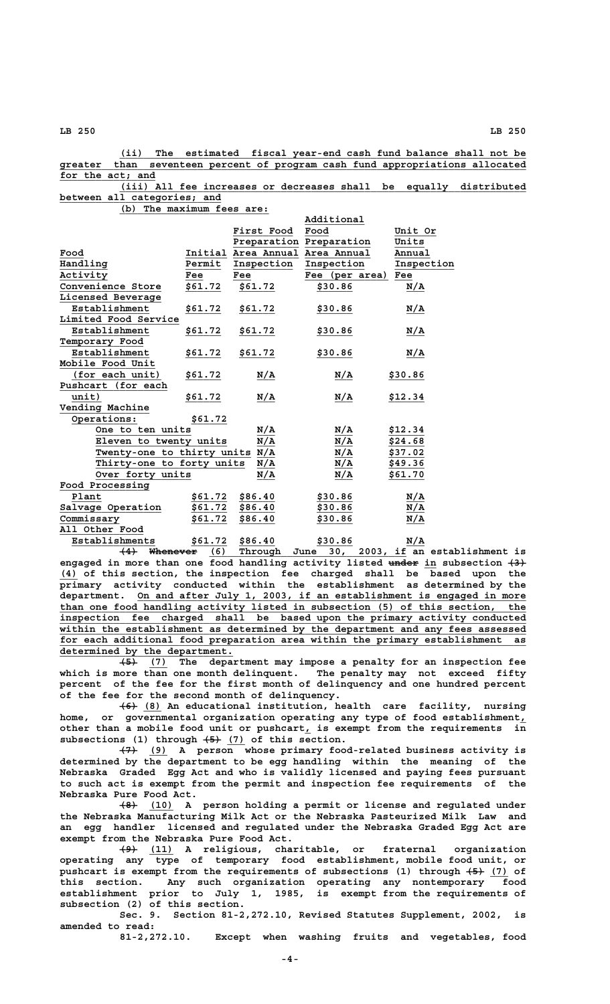**\_\_\_\_\_\_\_\_\_\_\_\_\_\_\_\_\_\_\_\_\_\_\_\_\_\_\_\_\_\_\_\_\_\_\_\_\_\_\_\_\_\_\_\_\_\_\_\_\_\_\_\_\_\_\_\_\_\_\_\_\_\_\_\_\_\_\_\_ (ii) The estimated fiscal year-end cash fund balance shall not be \_\_\_\_\_\_\_\_\_\_\_\_\_\_\_\_\_\_\_\_\_\_\_\_\_\_\_\_\_\_\_\_\_\_\_\_\_\_\_\_\_\_\_\_\_\_\_\_\_\_\_\_\_\_\_\_\_\_\_\_\_\_\_\_\_\_\_\_\_\_\_\_\_\_\_\_\_\_ greater than seventeen percent of program cash fund appropriations allocated \_\_\_\_\_\_\_\_\_\_\_\_\_\_\_\_ for the act; and**

 **\_\_\_\_\_\_\_\_\_\_\_\_\_\_\_\_\_\_\_\_\_\_\_\_\_\_\_\_\_\_\_\_\_\_\_\_\_\_\_\_\_\_\_\_\_\_\_\_\_\_\_\_\_\_\_\_\_\_\_\_\_\_\_\_\_\_\_\_ (iii) All fee increases or decreases shall be equally distributed \_\_\_\_\_\_\_\_\_\_\_\_\_\_\_\_\_\_\_\_\_\_\_\_\_\_\_ between all categories; and**

 **\_\_\_\_\_\_\_\_\_\_\_\_\_\_\_\_\_\_\_\_\_\_\_\_\_ (b) The maximum fees are:**

|                                                                                                                           |         |                                         | Additional                              |                  |
|---------------------------------------------------------------------------------------------------------------------------|---------|-----------------------------------------|-----------------------------------------|------------------|
|                                                                                                                           |         | First Food                              | Food                                    | Unit Or          |
|                                                                                                                           |         |                                         | Preparation Preparation                 | Units            |
| Food                                                                                                                      |         | Initial Area Annual Area Annual         |                                         | Annual           |
| Handling                                                                                                                  | Permit  | Inspection                              | Inspection                              | Inspection       |
| Activity                                                                                                                  | Fee     | Fee                                     | Fee (per area) Fee                      |                  |
| Convenience Store                                                                                                         | \$61.72 | \$61.72                                 | \$30.86                                 | <u>N/A</u>       |
| Licensed Beverage                                                                                                         |         |                                         |                                         |                  |
| Establishment                                                                                                             | \$61.72 | \$61.72                                 | \$30.86                                 | <u>N/A</u>       |
| Limited Food Service                                                                                                      |         |                                         |                                         |                  |
| Establishment                                                                                                             | \$61.72 | \$61.72                                 | \$30.86                                 | <u>N/A</u>       |
| Temporary Food                                                                                                            |         |                                         |                                         |                  |
| Establishment                                                                                                             | \$61.72 | \$61.72                                 | \$30.86                                 | N/A              |
| Mobile Food Unit                                                                                                          |         |                                         |                                         |                  |
| (for each unit)                                                                                                           | \$61.72 | N/A                                     | N/A                                     | \$30.86          |
| Pushcart (for each                                                                                                        |         |                                         |                                         |                  |
| unit)                                                                                                                     | \$61.72 | N/A                                     | N/A                                     | \$12.34          |
| Vending Machine                                                                                                           |         |                                         |                                         |                  |
| Operations:                                                                                                               | \$61.72 |                                         |                                         |                  |
| One to ten units                                                                                                          |         | N/A                                     | N/A                                     | \$12.34          |
| Eleven to twenty units $\frac{\overline{N/A}}{\text{Twenty-one}}$ to thirty units $\frac{\overline{N/A}}{\overline{N/A}}$ |         |                                         | $\overline{N/A}$                        | \$24.68          |
|                                                                                                                           |         |                                         | $\frac{\overline{N/A}}{\overline{N/A}}$ | \$37.02          |
| Thirty-one to forty units                                                                                                 |         |                                         |                                         | \$49.36          |
| Over forty units                                                                                                          |         | $\frac{\overline{N/A}}{\overline{N/A}}$ | $\overline{N/A}$                        | \$61.70          |
| Food Processing                                                                                                           |         |                                         |                                         |                  |
| Plant                                                                                                                     | \$61.72 | \$86.40                                 | \$30.86                                 | N/A              |
| Salvage Operation                                                                                                         | \$61.72 | \$86.40                                 | \$30.86                                 | N/A              |
| Commissary                                                                                                                | \$61.72 | \$86.40                                 | \$30.86                                 | $\overline{N/A}$ |
| All Other Food                                                                                                            |         |                                         |                                         |                  |
| Establishments                                                                                                            | \$61.72 | \$86.40                                 | \$30.86                                 | N/A              |

**(4) Whenever (6) Through June 30, 2003, if an establishment is ——— ———————— \_\_\_\_\_\_\_\_\_\_\_\_\_\_\_\_\_\_\_\_\_\_\_\_\_\_\_\_\_\_\_\_\_** engaged in more than one food handling activity listed <del>under</del> in subsection  $\left(3\right)$  **\_\_\_ (4) of this section, the inspection fee charged shall be based upon the primary activity conducted within the establishment as determined by the \_\_\_\_\_\_\_\_\_\_\_\_\_\_\_\_\_\_\_\_\_\_\_\_\_\_\_\_\_\_\_\_\_\_\_\_\_\_\_\_\_\_\_\_\_\_\_\_\_\_\_\_\_\_\_\_\_\_\_\_\_\_\_\_\_ department. On and after July 1, 2003, if an establishment is engaged in more \_\_\_\_\_\_\_\_\_\_\_\_\_\_\_\_\_\_\_\_\_\_\_\_\_\_\_\_\_\_\_\_\_\_\_\_\_\_\_\_\_\_\_\_\_\_\_\_\_\_\_\_\_\_\_\_\_\_\_\_\_\_\_\_\_\_\_\_\_\_\_\_\_\_\_\_\_\_ than one food handling activity listed in subsection (5) of this section, the \_\_\_\_\_\_\_\_\_\_\_\_\_\_\_\_\_\_\_\_\_\_\_\_\_\_\_\_\_\_\_\_\_\_\_\_\_\_\_\_\_\_\_\_\_\_\_\_\_\_\_\_\_\_\_\_\_\_\_\_\_\_\_\_\_\_\_\_\_\_\_\_\_\_\_\_\_\_ inspection fee charged shall be based upon the primary activity conducted \_\_\_\_\_\_\_\_\_\_\_\_\_\_\_\_\_\_\_\_\_\_\_\_\_\_\_\_\_\_\_\_\_\_\_\_\_\_\_\_\_\_\_\_\_\_\_\_\_\_\_\_\_\_\_\_\_\_\_\_\_\_\_\_\_\_\_\_\_\_\_\_\_\_\_\_\_\_ within the establishment as determined by the department and any fees assessed** for each additional food preparation area within the primary establishment as  **\_\_\_\_\_\_\_\_\_\_\_\_\_\_\_\_\_\_\_\_\_\_\_\_\_\_\_\_\_ determined by the department.**

 **——— \_\_\_ (5) (7) The department may impose a penalty for an inspection fee which is more than one month delinquent. The penalty may not exceed fifty percent of the fee for the first month of delinquency and one hundred percent of the fee for the second month of delinquency.**

 **——— \_\_\_ (6) (8) An educational institution, health care facility, nursing home, or governmental organization operating any type of food establishment,\_ \_ other than a mobile food unit or pushcart, is exempt from the requirements in** subsections (1) through  $\overline{+5}$  (7) of this section.

 **——— \_\_\_ (7) (9) A person whose primary food-related business activity is determined by the department to be egg handling within the meaning of the Nebraska Graded Egg Act and who is validly licensed and paying fees pursuant to such act is exempt from the permit and inspection fee requirements of the Nebraska Pure Food Act.**

 **——— \_\_\_\_ (8) (10) A person holding a permit or license and regulated under the Nebraska Manufacturing Milk Act or the Nebraska Pasteurized Milk Law and an egg handler licensed and regulated under the Nebraska Graded Egg Act are exempt from the Nebraska Pure Food Act.**

 **——— \_\_\_\_ (9) (11) A religious, charitable, or fraternal organization operating any type of temporary food establishment, mobile food unit, or** pushcart is exempt from the requirements of subsections (1) through  $\left(5\right)$  (7) of **this section. Any such organization operating any nontemporary food establishment prior to July 1, 1985, is exempt from the requirements of subsection (2) of this section.**

**Sec. 9. Section 81-2,272.10, Revised Statutes Supplement, 2002, is amended to read:**

**81-2,272.10. Except when washing fruits and vegetables, food**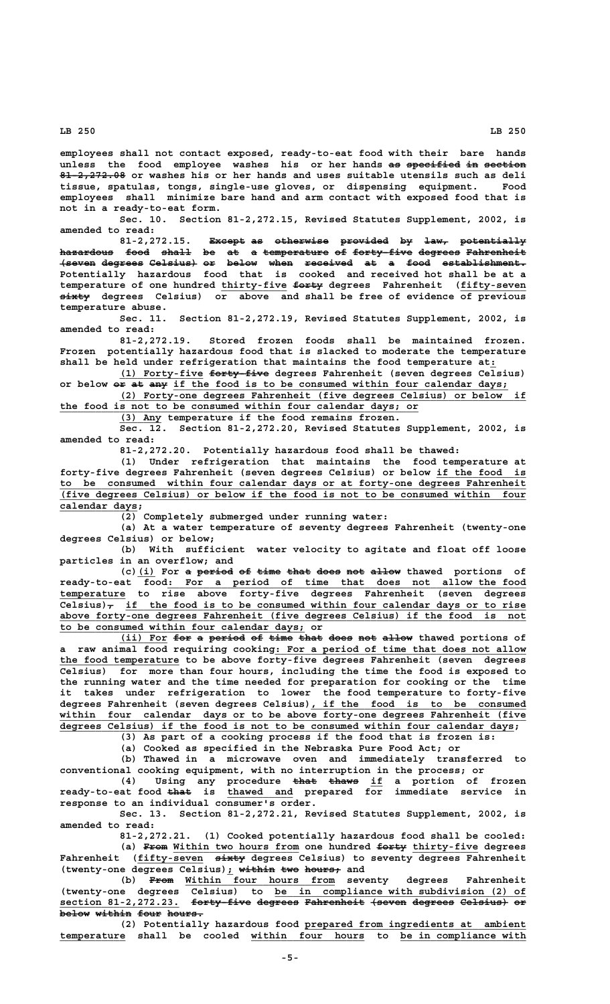**employees shall not contact exposed, ready-to-eat food with their bare hands** unless the food employee washes his or her hands as specified in section 81-2,272.08 or washes his or her hands and uses suitable utensils such as deli **tissue, spatulas, tongs, single-use gloves, or dispensing equipment. Food employees shall minimize bare hand and arm contact with exposed food that is not in a ready-to-eat form.**

**Sec. 10. Section 81-2,272.15, Revised Statutes Supplement, 2002, is amended to read:**

81-2,272.15. Except as otherwise provided by law, potentially **hazardous food shall be at a temperature of forty-five degrees Fahrenheit ————————— ———— ————— —— —— — ——————————— —— —————————— ——————— —————————— (seven degrees Celsius) or below when received at a food establishment. —————— ——————— ———————— —— ————— ———— ———————— —— — ———— —————————————— Potentially hazardous food that is cooked and received hot shall be at a** temperature of one hundred thirty-five forty degrees Fahrenheit (fifty-seven  **————— sixty degrees Celsius) or above and shall be free of evidence of previous temperature abuse.**

**Sec. 11. Section 81-2,272.19, Revised Statutes Supplement, 2002, is amended to read:**

**81-2,272.19. Stored frozen foods shall be maintained frozen. Frozen potentially hazardous food that is slacked to moderate the temperature shall be held under refrigeration that maintains the food temperature at:\_**

 **\_\_\_\_\_\_\_\_\_\_\_\_\_\_ —————————— (1) Forty-five forty-five degrees Fahrenheit (seven degrees Celsius)** or below  $\overline{e_{\text{F}}}$  at  $\overline{e_{\text{mp}}}$  if the food is to be consumed within four calendar days;

 **\_\_\_\_\_\_\_\_\_\_\_\_\_\_\_\_\_\_\_\_\_\_\_\_\_\_\_\_\_\_\_\_\_\_\_\_\_\_\_\_\_\_\_\_\_\_\_\_\_\_\_\_\_\_\_\_\_\_\_\_\_\_\_\_\_\_\_\_ (2) Forty-one degrees Fahrenheit (five degrees Celsius) or below if** the food is not to be consumed within four calendar days; or

 **\_\_\_\_\_\_\_ (3) Any temperature if the food remains frozen.**

**Sec. 12. Section 81-2,272.20, Revised Statutes Supplement, 2002, is amended to read:**

**81-2,272.20. Potentially hazardous food shall be thawed:**

**(1) Under refrigeration that maintains the food temperature at forty-five degrees Fahrenheit (seven degrees Celsius) or below if the food is \_\_\_\_\_\_\_\_\_\_\_\_\_\_\_ \_\_\_\_\_\_\_\_\_\_\_\_\_\_\_\_\_\_\_\_\_\_\_\_\_\_\_\_\_\_\_\_\_\_\_\_\_\_\_\_\_\_\_\_\_\_\_\_\_\_\_\_\_\_\_\_\_\_\_\_\_\_\_\_\_\_\_\_\_\_\_\_\_\_\_\_\_\_ to be consumed within four calendar days or at forty-one degrees Fahrenheit \_\_\_\_\_\_\_\_\_\_\_\_\_\_\_\_\_\_\_\_\_\_\_\_\_\_\_\_\_\_\_\_\_\_\_\_\_\_\_\_\_\_\_\_\_\_\_\_\_\_\_\_\_\_\_\_\_\_\_\_\_\_\_\_\_\_\_\_\_\_\_\_\_\_\_\_\_\_ (five degrees Celsius) or below if the food is not to be consumed within four** calendar days;

**(2) Completely submerged under running water:**

**(a) At a water temperature of seventy degrees Fahrenheit (twenty-one degrees Celsius) or below;**

**(b) With sufficient water velocity to agitate and float off loose particles in an overflow; and**

(c)(i) For a period of time that does not allow thawed portions of  **\_\_\_\_\_\_\_\_\_\_\_\_\_\_\_\_\_\_\_\_\_\_\_\_\_\_\_\_\_\_\_\_\_\_\_\_\_\_\_\_\_\_\_\_\_\_\_\_\_\_\_\_\_\_\_\_\_\_\_\_ ready-to-eat food: For a period of time that does not allow the food \_\_\_\_\_\_\_\_\_\_\_ temperature to rise above forty-five degrees Fahrenheit (seven degrees** Celsius) $\tau$  if the food is to be consumed within four calendar days or to rise  **\_\_\_\_\_\_\_\_\_\_\_\_\_\_\_\_\_\_\_\_\_\_\_\_\_\_\_\_\_\_\_\_\_\_\_\_\_\_\_\_\_\_\_\_\_\_\_\_\_\_\_\_\_\_\_\_\_\_\_\_\_\_\_\_\_\_\_\_\_\_\_\_\_\_\_\_\_\_ above forty-one degrees Fahrenheit (five degrees Celsius) if the food is not \_\_\_\_\_\_\_\_\_\_\_\_\_\_\_\_\_\_\_\_\_\_\_\_\_\_\_\_\_\_\_\_\_\_\_\_\_\_\_\_\_ to be consumed within four calendar days; or**

(ii) For for a period of time that does not allow thawed portions of  **\_\_\_\_\_\_\_\_\_\_\_\_\_\_\_\_\_\_\_\_\_\_\_\_\_\_\_\_\_\_\_\_\_\_\_\_\_\_\_\_\_\_ a raw animal food requiring cooking: For a period of time that does not allow \_\_\_\_\_\_\_\_\_\_\_\_\_\_\_\_\_\_\_\_ the food temperature to be above forty-five degrees Fahrenheit (seven degrees Celsius) for more than four hours, including the time the food is exposed to the running water and the time needed for preparation for cooking or the time it takes under refrigeration to lower the food temperature to forty-five \_\_\_\_\_\_\_\_\_\_\_\_\_\_\_\_\_\_\_\_\_\_\_\_\_\_\_\_\_\_\_\_\_\_\_\_ degrees Fahrenheit (seven degrees Celsius), if the food is to be consumed \_\_\_\_\_\_\_\_\_\_\_\_\_\_\_\_\_\_\_\_\_\_\_\_\_\_\_\_\_\_\_\_\_\_\_\_\_\_\_\_\_\_\_\_\_\_\_\_\_\_\_\_\_\_\_\_\_\_\_\_\_\_\_\_\_\_\_\_\_\_\_\_\_\_\_\_\_\_ within four calendar days or to be above forty-one degrees Fahrenheit (five \_\_\_\_\_\_\_\_\_\_\_\_\_\_\_\_\_\_\_\_\_\_\_\_\_\_\_\_\_\_\_\_\_\_\_\_\_\_\_\_\_\_\_\_\_\_\_\_\_\_\_\_\_\_\_\_\_\_\_\_\_\_\_\_\_\_\_\_\_\_\_\_\_\_\_\_ degrees Celsius) if the food is not to be consumed within four calendar days;**

**(3) As part of a cooking process if the food that is frozen is:**

**(a) Cooked as specified in the Nebraska Pure Food Act; or**

**(b) Thawed in a microwave oven and immediately transferred to conventional cooking equipment, with no interruption in the process; or**

(4) Using any procedure that thaws if a portion of frozen  **———— \_\_\_\_\_\_\_\_\_\_\_ ready-to-eat food that is thawed and prepared for immediate service in response to an individual consumer's order.**

> **Sec. 13. Section 81-2,272.21, Revised Statutes Supplement, 2002, is amended to read:**

> **81-2,272.21. (1) Cooked potentially hazardous food shall be cooled:** (a) From Within two hours from one hundred forty thirty-five degrees Fahrenheit (fifty-seven sixty degrees Celsius) to seventy degrees Fahrenheit (twenty-one degrees Celsius); within two hours; and

 **———— \_\_\_\_\_\_\_\_\_\_\_\_\_\_\_\_\_\_\_\_\_\_\_\_\_ (b) From Within four hours from seventy degrees Fahrenheit \_\_\_\_\_\_\_\_\_\_\_\_\_\_\_\_\_\_\_\_\_\_\_\_\_\_\_\_\_\_\_\_\_\_\_\_\_\_\_\_\_\_ (twenty-one degrees Celsius) to be in compliance with subdivision (2) of** section 81-2,272.23. <del>forty five degrees Fahrenheit (seven degrees Celsius) or</del> below within four hours.

 **\_\_\_\_\_\_\_\_\_\_\_\_\_\_\_\_\_\_\_\_\_\_\_\_\_\_\_\_\_\_\_\_\_\_\_\_\_ (2) Potentially hazardous food prepared from ingredients at ambient \_\_\_\_\_\_\_\_\_\_\_ \_\_\_\_\_\_\_\_\_\_\_\_\_\_\_\_\_\_\_ \_\_\_\_\_\_\_\_\_\_\_\_\_\_\_\_\_\_\_\_\_ temperature shall be cooled within four hours to be in compliance with**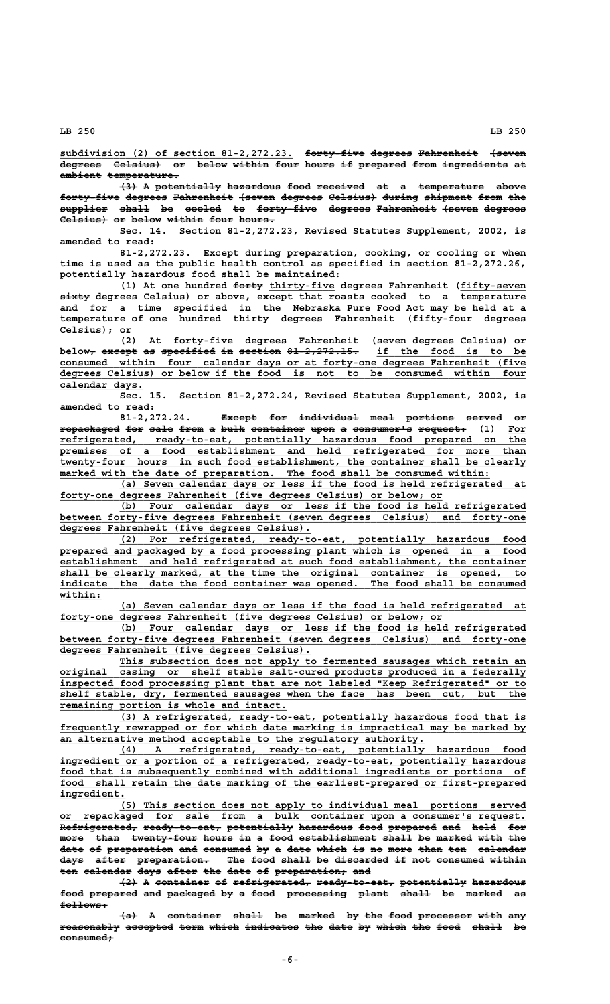subdivision (2) of section 81-2,272.23. <del>forty five degrees Fahrenheit (seven</del> **degrees** Celsius) or below within four hours if prepared from ingredients at  $ambient$  temperature.

 $\left\{3\right\}$  A potentially hazardous food received at a temperature above forty-five degrees Fahrenheit (seven degrees Celsius) during shipment from the  $\frac{1}{1}$   $\frac{1}{1}$  be cooled to forty-five degrees Fahrenheit (seven degrees Celsius) or below within four hours.

**Sec. 14. Section 81-2,272.23, Revised Statutes Supplement, 2002, is amended to read:**

**81-2,272.23. Except during preparation, cooking, or cooling or when time is used as the public health control as specified in section 81-2,272.26, potentially hazardous food shall be maintained:**

(1) At one hundred  $f$ orty thirty-five degrees Fahrenheit (fifty-seven  **————— sixty degrees Celsius) or above, except that roasts cooked to a temperature and for a time specified in the Nebraska Pure Food Act may be held at a temperature of one hundred thirty degrees Fahrenheit (fifty-four degrees Celsius); or**

**(2) At forty-five degrees Fahrenheit (seven degrees Celsius) or** below<sub>r</sub> except as specified in section 81-2,272.15. if the food is to be  **\_\_\_\_\_\_\_\_\_\_\_\_\_\_\_\_\_\_\_\_\_\_\_\_\_\_\_\_\_\_\_\_\_\_\_\_\_\_\_\_\_\_\_\_\_\_\_\_\_\_\_\_\_\_\_\_\_\_\_\_\_\_\_\_\_\_\_\_\_\_\_\_\_\_\_\_\_\_ consumed within four calendar days or at forty-one degrees Fahrenheit (five \_\_\_\_\_\_\_\_\_\_\_\_\_\_\_\_\_\_\_\_\_\_\_\_\_\_\_\_\_\_\_\_\_\_\_\_\_\_\_\_\_\_\_\_\_\_\_\_\_\_\_\_\_\_\_\_\_\_\_\_\_\_\_\_\_\_\_\_\_\_\_\_\_\_\_\_\_\_ degrees Celsius) or below if the food is not to be consumed within four calendar days. \_\_\_\_\_\_\_\_\_\_\_\_\_\_**

> **Sec. 15. Section 81-2,272.24, Revised Statutes Supplement, 2002, is amended to read:**

81-2,272.24. Except for individual meal portions served or **repackaged for sale from a bulk container upon a consumer's request: (1) For —————————— ——— ———— ———— — ———— ————————— ———— — —————————— ———————— \_\_\_**  $refrigerated, ready-to-eat, potentially hazardous food prepared on the$ </u>  **\_\_\_\_\_\_\_\_\_\_\_\_\_\_\_\_\_\_\_\_\_\_\_\_\_\_\_\_\_\_\_\_\_\_\_\_\_\_\_\_\_\_\_\_\_\_\_\_\_\_\_\_\_\_\_\_\_\_\_\_\_\_\_\_\_\_\_\_\_\_\_\_\_\_\_\_\_\_ premises of a food establishment and held refrigerated for more than \_\_\_\_\_\_\_\_\_\_\_\_\_\_\_\_\_\_\_\_\_\_\_\_\_\_\_\_\_\_\_\_\_\_\_\_\_\_\_\_\_\_\_\_\_\_\_\_\_\_\_\_\_\_\_\_\_\_\_\_\_\_\_\_\_\_\_\_\_\_\_\_\_\_\_\_\_\_ twenty-four hours in such food establishment, the container shall be clearly Example 10 Line 10 Line 10 Line 10 Line 10 Line 10 Line 10 Line 10 Line 10 Line 10 Line 10 Line 10 Line 10 Line 10 Line 10 Line 10 Line 10 Line 10 Line 10 Line 10 Line 10 Line 10 Line 10 Line 10 Line 10 Line 10 Line 10 Li** 

 **\_\_\_\_\_\_\_\_\_\_\_\_\_\_\_\_\_\_\_\_\_\_\_\_\_\_\_\_\_\_\_\_\_\_\_\_\_\_\_\_\_\_\_\_\_\_\_\_\_\_\_\_\_\_\_\_\_\_\_\_\_\_\_\_\_\_\_\_ (a) Seven calendar days or less if the food is held refrigerated at \_\_\_\_\_\_\_\_\_\_\_\_\_\_\_\_\_\_\_\_\_\_\_\_\_\_\_\_\_\_\_\_\_\_\_\_\_\_\_\_\_\_\_\_\_\_\_\_\_\_\_\_\_\_\_\_\_\_\_\_\_\_\_\_ forty-one degrees Fahrenheit (five degrees Celsius) or below; or**

 **\_\_\_\_\_\_\_\_\_\_\_\_\_\_\_\_\_\_\_\_\_\_\_\_\_\_\_\_\_\_\_\_\_\_\_\_\_\_\_\_\_\_\_\_\_\_\_\_\_\_\_\_\_\_\_\_\_\_\_\_\_\_\_\_\_\_\_\_ (b) Four calendar days or less if the food is held refrigerated \_\_\_\_\_\_\_\_\_\_\_\_\_\_\_\_\_\_\_\_\_\_\_\_\_\_\_\_\_\_\_\_\_\_\_\_\_\_\_\_\_\_\_\_\_\_\_\_\_\_\_\_\_\_\_\_\_\_\_\_\_\_\_\_\_\_\_\_\_\_\_\_\_\_\_\_\_\_ between forty-five degrees Fahrenheit (seven degrees Celsius) and forty-one \_\_\_\_\_\_\_\_\_\_\_\_\_\_\_\_\_\_\_\_\_\_\_\_\_\_\_\_\_\_\_\_\_\_\_\_\_\_\_\_\_\_ degrees Fahrenheit (five degrees Celsius).**

**The Latter of Latter of Strain (2) For refrigerated, ready-to-eat, potentially hazardous food \_\_\_\_\_\_\_\_\_\_\_\_\_\_\_\_\_\_\_\_\_\_\_\_\_\_\_\_\_\_\_\_\_\_\_\_\_\_\_\_\_\_\_\_\_\_\_\_\_\_\_\_\_\_\_\_\_\_\_\_\_\_\_\_\_\_\_\_\_\_\_\_\_\_\_\_\_\_ prepared and packaged by a food processing plant which is opened in a food \_\_\_\_\_\_\_\_\_\_\_\_\_\_\_\_\_\_\_\_\_\_\_\_\_\_\_\_\_\_\_\_\_\_\_\_\_\_\_\_\_\_\_\_\_\_\_\_\_\_\_\_\_\_\_\_\_\_\_\_\_\_\_\_\_\_\_\_\_\_\_\_\_\_\_\_\_\_ establishment and held refrigerated at such food establishment, the container \_\_\_\_\_\_\_\_\_\_\_\_\_\_\_\_\_\_\_\_\_\_\_\_\_\_\_\_\_\_\_\_\_\_\_\_\_\_\_\_\_\_\_\_\_\_\_\_\_\_\_\_\_\_\_\_\_\_\_\_\_\_\_\_\_\_\_\_\_\_\_\_\_\_\_\_\_\_ shall be clearly marked, at the time the original container is opened, to \_\_\_\_\_\_\_\_\_\_\_\_\_\_\_\_\_\_\_\_\_\_\_\_\_\_\_\_\_\_\_\_\_\_\_\_\_\_\_\_\_\_\_\_\_\_\_\_\_\_\_\_\_\_\_\_\_\_\_\_\_\_\_\_\_\_\_\_\_\_\_\_\_\_\_\_\_\_ indicate the date the food container was opened. The food shall be consumed within: \_\_\_\_\_\_\_**

 **\_\_\_\_\_\_\_\_\_\_\_\_\_\_\_\_\_\_\_\_\_\_\_\_\_\_\_\_\_\_\_\_\_\_\_\_\_\_\_\_\_\_\_\_\_\_\_\_\_\_\_\_\_\_\_\_\_\_\_\_\_\_\_\_\_\_\_\_ (a) Seven calendar days or less if the food is held refrigerated at \_\_\_\_\_\_\_\_\_\_\_\_\_\_\_\_\_\_\_\_\_\_\_\_\_\_\_\_\_\_\_\_\_\_\_\_\_\_\_\_\_\_\_\_\_\_\_\_\_\_\_\_\_\_\_\_\_\_\_\_\_\_\_\_ forty-one degrees Fahrenheit (five degrees Celsius) or below; or**

 **\_\_\_\_\_\_\_\_\_\_\_\_\_\_\_\_\_\_\_\_\_\_\_\_\_\_\_\_\_\_\_\_\_\_\_\_\_\_\_\_\_\_\_\_\_\_\_\_\_\_\_\_\_\_\_\_\_\_\_\_\_\_\_\_\_\_\_\_ (b) Four calendar days or less if the food is held refrigerated** between forty-five degrees Fahrenheit (seven degrees Celsius) and forty-one  **\_\_\_\_\_\_\_\_\_\_\_\_\_\_\_\_\_\_\_\_\_\_\_\_\_\_\_\_\_\_\_\_\_\_\_\_\_\_\_\_\_\_ degrees Fahrenheit (five degrees Celsius).**

 **\_\_\_\_\_\_\_\_\_\_\_\_\_\_\_\_\_\_\_\_\_\_\_\_\_\_\_\_\_\_\_\_\_\_\_\_\_\_\_\_\_\_\_\_\_\_\_\_\_\_\_\_\_\_\_\_\_\_\_\_\_\_\_\_\_\_\_\_ This subsection does not apply to fermented sausages which retain an** original casing or shelf stable salt-cured products produced in a federally  **\_\_\_\_\_\_\_\_\_\_\_\_\_\_\_\_\_\_\_\_\_\_\_\_\_\_\_\_\_\_\_\_\_\_\_\_\_\_\_\_\_\_\_\_\_\_\_\_\_\_\_\_\_\_\_\_\_\_\_\_\_\_\_\_\_\_\_\_\_\_\_\_\_\_\_\_\_\_ inspected food processing plant that are not labeled "Keep Refrigerated" or to** shelf stable, dry, fermented sausages when the face has been cut, but the  **\_\_\_\_\_\_\_\_\_\_\_\_\_\_\_\_\_\_\_\_\_\_\_\_\_\_\_\_\_\_\_\_\_\_\_\_\_\_ remaining portion is whole and intact.**

 **\_\_\_\_\_\_\_\_\_\_\_\_\_\_\_\_\_\_\_\_\_\_\_\_\_\_\_\_\_\_\_\_\_\_\_\_\_\_\_\_\_\_\_\_\_\_\_\_\_\_\_\_\_\_\_\_\_\_\_\_\_\_\_\_\_\_\_\_ (3) A refrigerated, ready-to-eat, potentially hazardous food that is** frequently rewrapped or for which date marking is impractical may be marked by  **\_\_\_\_\_\_\_\_\_\_\_\_\_\_\_\_\_\_\_\_\_\_\_\_\_\_\_\_\_\_\_\_\_\_\_\_\_\_\_\_\_\_\_\_\_\_\_\_\_\_\_\_\_\_\_\_\_\_\_\_\_ an alternative method acceptable to the regulatory authority.**

 **\_\_\_\_\_\_\_\_\_\_\_\_\_\_\_\_\_\_\_\_\_\_\_\_\_\_\_\_\_\_\_\_\_\_\_\_\_\_\_\_\_\_\_\_\_\_\_\_\_\_\_\_\_\_\_\_\_\_\_\_\_\_\_\_\_\_\_\_ (4) A refrigerated, ready-to-eat, potentially hazardous food \_\_\_\_\_\_\_\_\_\_\_\_\_\_\_\_\_\_\_\_\_\_\_\_\_\_\_\_\_\_\_\_\_\_\_\_\_\_\_\_\_\_\_\_\_\_\_\_\_\_\_\_\_\_\_\_\_\_\_\_\_\_\_\_\_\_\_\_\_\_\_\_\_\_\_\_\_\_ ingredient or a portion of a refrigerated, ready-to-eat, potentially hazardous \_\_\_\_\_\_\_\_\_\_\_\_\_\_\_\_\_\_\_\_\_\_\_\_\_\_\_\_\_\_\_\_\_\_\_\_\_\_\_\_\_\_\_\_\_\_\_\_\_\_\_\_\_\_\_\_\_\_\_\_\_\_\_\_\_\_\_\_\_\_\_\_\_\_\_\_\_\_ food that is subsequently combined with additional ingredients or portions of \_\_\_\_\_\_\_\_\_\_\_\_\_\_\_\_\_\_\_\_\_\_\_\_\_\_\_\_\_\_\_\_\_\_\_\_\_\_\_\_\_\_\_\_\_\_\_\_\_\_\_\_\_\_\_\_\_\_\_\_\_\_\_\_\_\_\_\_\_\_\_\_\_\_\_\_\_\_ food shall retain the date marking of the earliest-prepared or first-prepared ingredient. \_\_\_\_\_\_\_\_\_\_\_**

 **\_\_\_\_\_\_\_\_\_\_\_\_\_\_\_\_\_\_\_\_\_\_\_\_\_\_\_\_\_\_\_\_\_\_\_\_\_\_\_\_\_\_\_\_\_\_\_\_\_\_\_\_\_\_\_\_\_\_\_\_\_\_\_\_\_\_\_\_ (5) This section does not apply to individual meal portions served \_\_\_\_\_\_\_\_\_\_\_\_\_\_\_\_\_\_\_\_\_\_\_\_\_\_\_\_\_\_\_\_\_\_\_\_\_\_\_\_\_\_\_\_\_\_\_\_\_\_\_\_\_\_\_\_\_\_\_\_\_\_\_\_\_\_\_\_\_\_\_\_\_\_\_\_\_\_ or repackaged for sale from a bulk container upon a consumer's request. Refrigerated, ready-to-eat, potentially hazardous food prepared and held for ————————————— ————————————— ——————————— ————————— ———— ———————— ——— ———— ——** more than twenty-four hours in a food establishment shall be marked with the date of preparation and consumed by a date which is no more than ten calendar days after preparation. The food shall be discarded if not consumed within **ten calendar days after the date of preparation; and** 

**(2) A container of refrigerated, ready-to-eat, potentially hazardous ——— — ————————— —— ————————————— ————————————— ——————————— ————————** food prepared and packaged by a food processing plant shall be marked as  $f$ ollows:

 $\{a\}$  A container shall be marked by the food processor with any reasonably accepted term which indicates the date by which the food shall be  **consumed; —————————**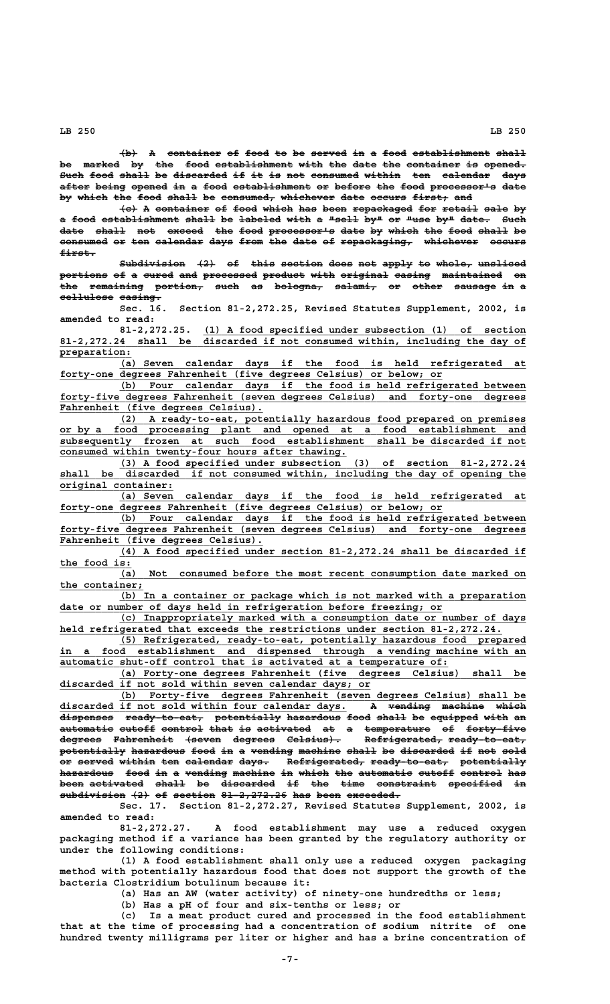$\{\mathbf{b}\}\$  A container of food to be served in a food establishment shall be marked by the food establishment with the date the container is opened. Such food shall be discarded if it is not consumed within ten calendar days after being opened in a food establishment or before the food processor's date by which the food shall be consumed, whichever date occurs first, and

**(c) A container of food which has been repackaged for retail sale by ——— — ————————— —— ———— ————— ——— ———— —————————— ——— —————— ———— —** a food establishment shall be labeled with a "sell by" or "use by" date. Such date shall not exceed the food processor's date by which the food shall be consumed or ten calendar days from the date of repackaging, whichever occurs  **first.——————**

Subdivision  $\{2\}$  of this section does not apply to whole, unsliced portions of a cured and processed product with original casing maintained on the remaining portion, such as bologna, salami, or other sausage in a cellulose casing.

**Sec. 16. Section 81-2,272.25, Revised Statutes Supplement, 2002, is amended to read:**

 **\_\_\_\_\_\_\_\_\_\_\_\_\_\_\_\_\_\_\_\_\_\_\_\_\_\_\_\_\_\_\_\_\_\_\_\_\_\_\_\_\_\_\_\_\_\_\_\_\_\_\_\_\_\_ 81-2,272.25. (1) A food specified under subsection (1) of section \_\_\_\_\_\_\_\_\_\_\_\_\_\_\_\_\_\_\_\_\_\_\_\_\_\_\_\_\_\_\_\_\_\_\_\_\_\_\_\_\_\_\_\_\_\_\_\_\_\_\_\_\_\_\_\_\_\_\_\_\_\_\_\_\_\_\_\_\_\_\_\_\_\_\_\_\_\_ 81-2,272.24 shall be discarded if not consumed within, including the day of** 81-2,272.24 shall be<br>preparation:

> **\_\_\_\_\_\_\_\_\_\_\_\_\_\_\_\_\_\_\_\_\_\_\_\_\_\_\_\_\_\_\_\_\_\_\_\_\_\_\_\_\_\_\_\_\_\_\_\_\_\_\_\_\_\_\_\_\_\_\_\_\_\_\_\_\_\_\_\_ (a) Seven calendar days if the food is held refrigerated at \_\_\_\_\_\_\_\_\_\_\_\_\_\_\_\_\_\_\_\_\_\_\_\_\_\_\_\_\_\_\_\_\_\_\_\_\_\_\_\_\_\_\_\_\_\_\_\_\_\_\_\_\_\_\_\_\_\_\_\_\_\_\_\_ forty-one degrees Fahrenheit (five degrees Celsius) or below; or**

> **\_\_\_\_\_\_\_\_\_\_\_\_\_\_\_\_\_\_\_\_\_\_\_\_\_\_\_\_\_\_\_\_\_\_\_\_\_\_\_\_\_\_\_\_\_\_\_\_\_\_\_\_\_\_\_\_\_\_\_\_\_\_\_\_\_\_\_\_ (b) Four calendar days if the food is held refrigerated between \_\_\_\_\_\_\_\_\_\_\_\_\_\_\_\_\_\_\_\_\_\_\_\_\_\_\_\_\_\_\_\_\_\_\_\_\_\_\_\_\_\_\_\_\_\_\_\_\_\_\_\_\_\_\_\_\_\_\_\_\_\_\_\_\_\_\_\_\_\_\_\_\_\_\_\_\_\_ forty-five degrees Fahrenheit (seven degrees Celsius) and forty-one degrees \_\_\_\_\_\_\_\_\_\_\_\_\_\_\_\_\_\_\_\_\_\_\_\_\_\_\_\_\_\_\_\_\_\_ Fahrenheit (five degrees Celsius).**

 **\_\_\_\_\_\_\_\_\_\_\_\_\_\_\_\_\_\_\_\_\_\_\_\_\_\_\_\_\_\_\_\_\_\_\_\_\_\_\_\_\_\_\_\_\_\_\_\_\_\_\_\_\_\_\_\_\_\_\_\_\_\_\_\_\_\_\_\_ (2) A ready-to-eat, potentially hazardous food prepared on premises \_\_\_\_\_\_\_\_\_\_\_\_\_\_\_\_\_\_\_\_\_\_\_\_\_\_\_\_\_\_\_\_\_\_\_\_\_\_\_\_\_\_\_\_\_\_\_\_\_\_\_\_\_\_\_\_\_\_\_\_\_\_\_\_\_\_\_\_\_\_\_\_\_\_\_\_\_\_ or by a food processing plant and opened at a food establishment and \_\_\_\_\_\_\_\_\_\_\_\_\_\_\_\_\_\_\_\_\_\_\_\_\_\_\_\_\_\_\_\_\_\_\_\_\_\_\_\_\_\_\_\_\_\_\_\_\_\_\_\_\_\_\_\_\_\_\_\_\_\_\_\_\_\_\_\_\_\_\_\_\_\_\_\_\_\_ subsequently frozen at such food establishment shall be discarded if not <u>consumed</u> within twenty-four hours after thawing.** 

 **\_\_\_\_\_\_\_\_\_\_\_\_\_\_\_\_\_\_\_\_\_\_\_\_\_\_\_\_\_\_\_\_\_\_\_\_\_\_\_\_\_\_\_\_\_\_\_\_\_\_\_\_\_\_\_\_\_\_\_\_\_\_\_\_\_\_\_\_ (3) A food specified under subsection (3) of section 81-2,272.24 \_\_\_\_\_\_\_\_\_\_\_\_\_\_\_\_\_\_\_\_\_\_\_\_\_\_\_\_\_\_\_\_\_\_\_\_\_\_\_\_\_\_\_\_\_\_\_\_\_\_\_\_\_\_\_\_\_\_\_\_\_\_\_\_\_\_\_\_\_\_\_\_\_\_\_\_\_\_ shall be discarded if not consumed within, including the day of opening the original container: \_\_\_\_\_\_\_\_\_\_\_\_\_\_\_\_\_\_\_**

 **\_\_\_\_\_\_\_\_\_\_\_\_\_\_\_\_\_\_\_\_\_\_\_\_\_\_\_\_\_\_\_\_\_\_\_\_\_\_\_\_\_\_\_\_\_\_\_\_\_\_\_\_\_\_\_\_\_\_\_\_\_\_\_\_\_\_\_\_ (a) Seven calendar days if the food is held refrigerated at \_\_\_\_\_\_\_\_\_\_\_\_\_\_\_\_\_\_\_\_\_\_\_\_\_\_\_\_\_\_\_\_\_\_\_\_\_\_\_\_\_\_\_\_\_\_\_\_\_\_\_\_\_\_\_\_\_\_\_\_\_\_\_\_ forty-one degrees Fahrenheit (five degrees Celsius) or below; or**

 **\_\_\_\_\_\_\_\_\_\_\_\_\_\_\_\_\_\_\_\_\_\_\_\_\_\_\_\_\_\_\_\_\_\_\_\_\_\_\_\_\_\_\_\_\_\_\_\_\_\_\_\_\_\_\_\_\_\_\_\_\_\_\_\_\_\_\_\_ (b) Four calendar days if the food is held refrigerated between \_\_\_\_\_\_\_\_\_\_\_\_\_\_\_\_\_\_\_\_\_\_\_\_\_\_\_\_\_\_\_\_\_\_\_\_\_\_\_\_\_\_\_\_\_\_\_\_\_\_\_\_\_\_\_\_\_\_\_\_\_\_\_\_\_\_\_\_\_\_\_\_\_\_\_\_\_\_ forty-five degrees Fahrenheit (seven degrees Celsius) and forty-one degrees \_\_\_\_\_\_\_\_\_\_\_\_\_\_\_\_\_\_\_\_\_\_\_\_\_\_\_\_\_\_\_\_\_\_ Fahrenheit (five degrees Celsius).**

 **\_\_\_\_\_\_\_\_\_\_\_\_\_\_\_\_\_\_\_\_\_\_\_\_\_\_\_\_\_\_\_\_\_\_\_\_\_\_\_\_\_\_\_\_\_\_\_\_\_\_\_\_\_\_\_\_\_\_\_\_\_\_\_\_\_\_\_\_ (4) A food specified under section 81-2,272.24 shall be discarded if \_\_\_\_\_\_\_\_\_\_\_\_ the food is:**

 **\_\_\_\_\_\_\_\_\_\_\_\_\_\_\_\_\_\_\_\_\_\_\_\_\_\_\_\_\_\_\_\_\_\_\_\_\_\_\_\_\_\_\_\_\_\_\_\_\_\_\_\_\_\_\_\_\_\_\_\_\_\_\_\_\_\_\_\_ (a) Not consumed before the most recent consumption date marked on** the container;

 **\_\_\_\_\_\_\_\_\_\_\_\_\_\_\_\_\_\_\_\_\_\_\_\_\_\_\_\_\_\_\_\_\_\_\_\_\_\_\_\_\_\_\_\_\_\_\_\_\_\_\_\_\_\_\_\_\_\_\_\_\_\_\_\_\_\_\_\_ (b) In a container or package which is not marked with a preparation** date or number o<u>f days held in refrigeration before freezing</u>; or

 **\_\_\_\_\_\_\_\_\_\_\_\_\_\_\_\_\_\_\_\_\_\_\_\_\_\_\_\_\_\_\_\_\_\_\_\_\_\_\_\_\_\_\_\_\_\_\_\_\_\_\_\_\_\_\_\_\_\_\_\_\_\_\_\_\_\_\_\_ (c) Inappropriately marked with a consumption date or number of days** held refrigerated that exceeds the restrictions under section 81-2,272.24.

 **\_\_\_\_\_\_\_\_\_\_\_\_\_\_\_\_\_\_\_\_\_\_\_\_\_\_\_\_\_\_\_\_\_\_\_\_\_\_\_\_\_\_\_\_\_\_\_\_\_\_\_\_\_\_\_\_\_\_\_\_\_\_\_\_\_\_\_\_ (5) Refrigerated, ready-to-eat, potentially hazardous food prepared \_\_\_\_\_\_\_\_\_\_\_\_\_\_\_\_\_\_\_\_\_\_\_\_\_\_\_\_\_\_\_\_\_\_\_\_\_\_\_\_\_\_\_\_\_\_\_\_\_\_\_\_\_\_\_\_\_\_\_\_\_\_\_\_\_\_\_\_\_\_\_\_\_\_\_\_\_\_ in a food establishment and dispensed through a vending machine with an \_\_\_\_\_\_\_\_\_\_\_\_\_\_\_\_\_\_\_\_\_\_\_\_\_\_\_\_\_\_\_\_\_\_\_\_\_\_\_\_\_\_\_\_\_\_\_\_\_\_\_\_\_\_\_\_\_\_\_\_\_\_\_\_\_ automatic shut-off control that is activated at a temperature of:**

 **\_\_\_\_\_\_\_\_\_\_\_\_\_\_\_\_\_\_\_\_\_\_\_\_\_\_\_\_\_\_\_\_\_\_\_\_\_\_\_\_\_\_\_\_\_\_\_\_\_\_\_\_\_\_\_\_\_\_\_\_\_\_\_\_\_\_\_\_ (a) Forty-one degrees Fahrenheit (five degrees Celsius) shall be \_\_\_\_\_\_\_\_\_\_\_\_\_\_\_\_\_\_\_\_\_\_\_\_\_\_\_\_\_\_\_\_\_\_\_\_\_\_\_\_\_\_\_\_\_\_\_\_\_\_\_\_ discarded if not sold within seven calendar days; or**

 **\_\_\_\_\_\_\_\_\_\_\_\_\_\_\_\_\_\_\_\_\_\_\_\_\_\_\_\_\_\_\_\_\_\_\_\_\_\_\_\_\_\_\_\_\_\_\_\_\_\_\_\_\_\_\_\_\_\_\_\_\_\_\_\_\_\_\_\_ (b) Forty-five degrees Fahrenheit (seven degrees Celsius) shall be** discarded if not sold within four calendar days. A vending machine which **dispenses ready-to-eat, potentially hazardous food shall be equipped with an ————————— ————————————— ——————————— ————————— ———— ————— —— ———————— ———— — automatic cutoff control that is activated at a temperature of forty-five ————————— —————— ——————— ———— —— ————————— —— — ——————————— —— ————————— degrees Fahrenheit (seven degrees Celsius). Refrigerated, ready-to-eat, ——————— —————————— —————— ——————— ————————— ————————————— ————————————** potentially hazardous food in a vending machine shall be discarded if not sold **or served within ten calendar days. Refrigerated, ready-to-eat, potentially —— —————— —————— ——— ———————— ————— ————————————— ————————————— —————————— hazardous food in a vending machine in which the automatic cutoff control has ————————— ———— —— — ——————— ——————— —— ————— ——— ————————— —————— ——————— —— been activated shall be discarded if the time constraint specified in ———— ————————— ————— —— ————————— —— ——— ———— —————————— ————————— — subdivision (2) of section 81-2,272.26 has been exceeded. ——————————— ——— —— ——————— ——————————— ——— ———— —————————**

**Sec. 17. Section 81-2,272.27, Revised Statutes Supplement, 2002, is amended to read:**

**81-2,272.27. A food establishment may use a reduced oxygen packaging method if a variance has been granted by the regulatory authority or under the following conditions:**

**(1) A food establishment shall only use a reduced oxygen packaging method with potentially hazardous food that does not support the growth of the bacteria Clostridium botulinum because it:**

**(a) Has an AW (water activity) of ninety-one hundredths or less;**

**(b) Has a pH of four and six-tenths or less; or**

**(c) Is a meat product cured and processed in the food establishment that at the time of processing had a concentration of sodium nitrite of one hundred twenty milligrams per liter or higher and has a brine concentration of**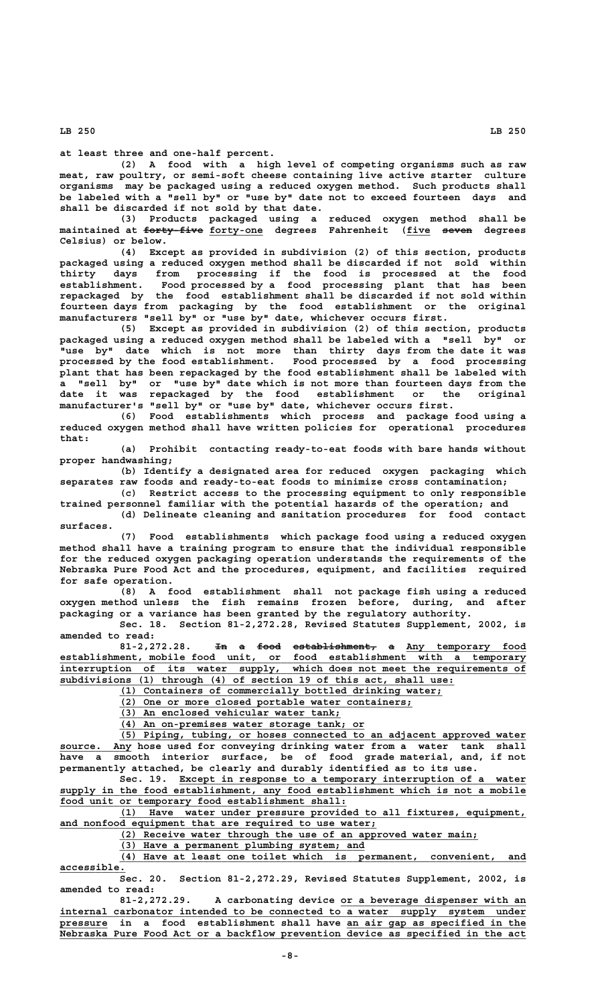**at least three and one-half percent.**

**(2) A food with a high level of competing organisms such as raw meat, raw poultry, or semi-soft cheese containing live active starter culture organisms may be packaged using a reduced oxygen method. Such products shall be labeled with a "sell by" or "use by" date not to exceed fourteen days and shall be discarded if not sold by that date.**

**(3) Products packaged using a reduced oxygen method shall be —————————— \_\_\_\_\_\_\_\_\_ \_\_\_\_ ————— maintained at forty-five forty-one degrees Fahrenheit (five seven degrees Celsius) or below.**

**(4) Except as provided in subdivision (2) of this section, products packaged using a reduced oxygen method shall be discarded if not sold within thirty days from processing if the food is processed at the food establishment. Food processed by a food processing plant that has been repackaged by the food establishment shall be discarded if not sold within fourteen days from packaging by the food establishment or the original manufacturers "sell by" or "use by" date, whichever occurs first.**

**(5) Except as provided in subdivision (2) of this section, products packaged using a reduced oxygen method shall be labeled with a "sell by" or "use by" date which is not more than thirty days from the date it was processed by the food establishment. Food processed by a food processing plant that has been repackaged by the food establishment shall be labeled with a "sell by" or "use by" date which is not more than fourteen days from the date it was repackaged by the food establishment or the original manufacturer's "sell by" or "use by" date, whichever occurs first.**

**(6) Food establishments which process and package food using a reduced oxygen method shall have written policies for operational procedures that:**

**(a) Prohibit contacting ready-to-eat foods with bare hands without proper handwashing;**

**(b) Identify a designated area for reduced oxygen packaging which separates raw foods and ready-to-eat foods to minimize cross contamination;**

**(c) Restrict access to the processing equipment to only responsible trained personnel familiar with the potential hazards of the operation; and (d) Delineate cleaning and sanitation procedures for food contact**

 **surfaces.**

**(7) Food establishments which package food using a reduced oxygen method shall have a training program to ensure that the individual responsible for the reduced oxygen packaging operation understands the requirements of the Nebraska Pure Food Act and the procedures, equipment, and facilities required for safe operation.**

**(8) A food establishment shall not package fish using a reduced oxygen method unless the fish remains frozen before, during, and after packaging or a variance has been granted by the regulatory authority.**

**Sec. 18. Section 81-2,272.28, Revised Statutes Supplement, 2002, is amended to read:**

81-2,272.28. <del>In a food establishment,</del> a Any temporary food establishment, mobile food unit, or food establishment with a temporary  **\_\_\_\_\_\_\_\_\_\_\_\_\_\_\_\_\_\_\_\_\_\_\_\_\_\_\_\_\_\_\_\_\_\_\_\_\_\_\_\_\_\_\_\_\_\_\_\_\_\_\_\_\_\_\_\_\_\_\_\_\_\_\_\_\_\_\_\_\_\_\_\_\_\_\_\_\_\_ interruption of its water supply, which does not meet the requirements of \_\_\_\_\_\_\_\_\_\_\_\_\_\_\_\_\_\_\_\_\_\_\_\_\_\_\_\_\_\_\_\_\_\_\_\_\_\_\_\_\_\_\_\_\_\_\_\_\_\_\_\_\_\_\_\_\_\_\_\_\_\_\_\_\_\_ subdivisions (1) through (4) of section 19 of this act, shall use:**

 **\_\_\_\_\_\_\_\_\_\_\_\_\_\_\_\_\_\_\_\_\_\_\_\_\_\_\_\_\_\_\_\_\_\_\_\_\_\_\_\_\_\_\_\_\_\_\_\_\_\_\_\_\_\_ (1) Containers of commercially bottled drinking water;**

 **\_\_\_\_\_\_\_\_\_\_\_\_\_\_\_\_\_\_\_\_\_\_\_\_\_\_\_\_\_\_\_\_\_\_\_\_\_\_\_\_\_\_\_\_\_\_\_\_\_ (2) One or more closed portable water containers;**

 **\_\_\_\_\_\_\_\_\_\_\_\_\_\_\_\_\_\_\_\_\_\_\_\_\_\_\_\_\_\_\_\_\_\_\_\_\_ (3) An enclosed vehicular water tank;**

 **\_\_\_\_\_\_\_\_\_\_\_\_\_\_\_\_\_\_\_\_\_\_\_\_\_\_\_\_\_\_\_\_\_\_\_\_\_\_\_\_\_ (4) An on-premises water storage tank; or**

 **\_\_\_\_\_\_\_\_\_\_\_\_\_\_\_\_\_\_\_\_\_\_\_\_\_\_\_\_\_\_\_\_\_\_\_\_\_\_\_\_\_\_\_\_\_\_\_\_\_\_\_\_\_\_\_\_\_\_\_\_\_\_\_\_\_\_\_\_ (5) Piping, tubing, or hoses connected to an adjacent approved water \_\_\_\_\_\_\_\_\_\_\_\_ source. Any hose used for conveying drinking water from a water tank shall have a smooth interior surface, be of food grade material, and, if not permanently attached, be clearly and durably identified as to its use.**

 **\_\_\_\_\_\_\_\_\_\_\_\_\_\_\_\_\_\_\_\_\_\_\_\_\_\_\_\_\_\_\_\_\_\_\_\_\_\_\_\_\_\_\_\_\_\_\_\_\_\_\_\_\_\_\_\_\_\_ Sec. 19. Except in response to a temporary interruption of a water**  $\texttt{supply in the food establishment, any food establishment which is not a mobile}$  **\_\_\_\_\_\_\_\_\_\_\_\_\_\_\_\_\_\_\_\_\_\_\_\_\_\_\_\_\_\_\_\_\_\_\_\_\_\_\_\_\_\_\_\_\_\_\_\_ food unit or temporary food establishment shall:**

 **\_\_\_\_\_\_\_\_\_\_\_\_\_\_\_\_\_\_\_\_\_\_\_\_\_\_\_\_\_\_\_\_\_\_\_\_\_\_\_\_\_\_\_\_\_\_\_\_\_\_\_\_\_\_\_\_\_\_\_\_\_\_\_\_\_\_\_\_ (1) Have water under pressure provided to all fixtures, equipment, \_\_\_\_\_\_\_\_\_\_\_\_\_\_\_\_\_\_\_\_\_\_\_\_\_\_\_\_\_\_\_\_\_\_\_\_\_\_\_\_\_\_\_\_\_\_\_\_\_\_\_\_\_ and nonfood equipment that are required to use water;**

 **\_\_\_\_\_\_\_\_\_\_\_\_\_\_\_\_\_\_\_\_\_\_\_\_\_\_\_\_\_\_\_\_\_\_\_\_\_\_\_\_\_\_\_\_\_\_\_\_\_\_\_\_\_\_\_\_\_\_\_\_ (2) Receive water through the use of an approved water main;**

 **\_\_\_\_\_\_\_\_\_\_\_\_\_\_\_\_\_\_\_\_\_\_\_\_\_\_\_\_\_\_\_\_\_\_\_\_\_\_\_\_\_ (3) Have a permanent plumbing system; and**

 **\_\_\_\_\_\_\_\_\_\_\_\_\_\_\_\_\_\_\_\_\_\_\_\_\_\_\_\_\_\_\_\_\_\_\_\_\_\_\_\_\_\_\_\_\_\_\_\_\_\_\_\_\_\_\_\_\_\_\_\_\_\_\_\_\_\_\_\_ (4) Have at least one toilet which is permanent, convenient, and accessible. \_\_\_\_\_\_\_\_\_\_\_**

**Sec. 20. Section 81-2,272.29, Revised Statutes Supplement, 2002, is amended to read:**

81-2,272.29. A carbonating device or a beverage dispenser with an  **\_\_\_\_\_\_\_\_\_\_\_\_\_\_\_\_\_\_\_\_\_\_\_\_\_\_\_\_\_\_\_\_\_\_\_\_\_\_\_\_\_\_\_\_\_\_\_\_\_\_\_\_\_\_\_\_\_\_\_\_\_\_\_\_\_\_\_\_\_\_\_\_\_\_\_\_\_\_ internal carbonator intended to be connected to a water supply system under \_\_\_\_\_\_\_\_ \_\_\_\_\_\_\_\_\_\_\_\_\_\_\_\_\_\_\_\_\_\_\_\_\_\_\_\_\_\_ pressure in a food establishment shall have an air gap as specified in the \_\_\_\_\_\_\_\_\_\_\_\_\_\_\_\_\_\_\_\_\_\_\_\_\_\_\_\_\_\_\_\_\_\_\_\_\_\_\_\_\_\_\_\_\_\_\_\_\_\_\_\_\_\_\_\_\_\_\_\_\_\_\_\_\_\_\_\_\_\_\_\_\_\_\_\_\_\_ Nebraska Pure Food Act or a backflow prevention device as specified in the act**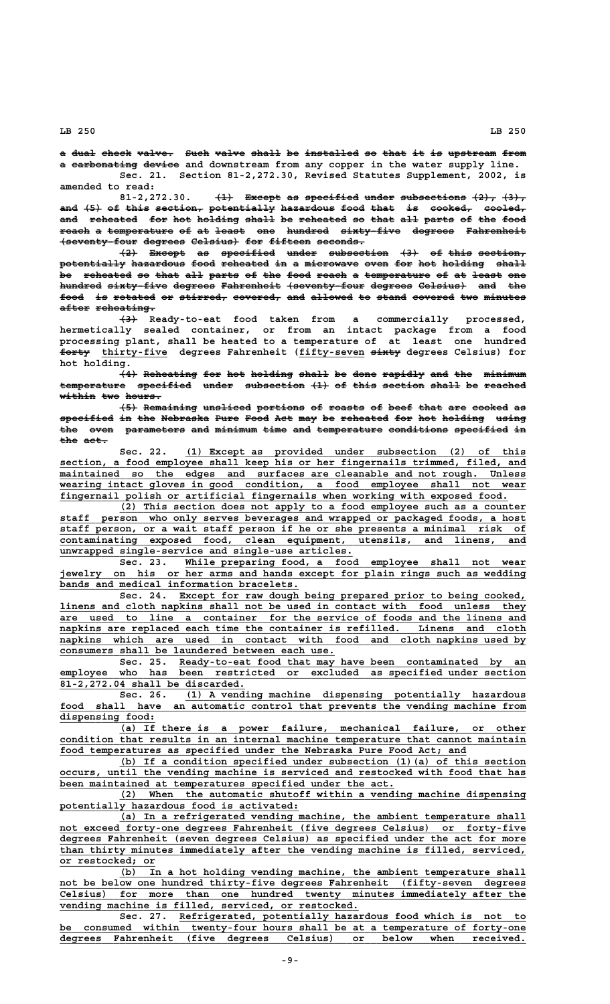a dual check valve. Such valve shall be installed so that it is upstream from a carbonating device and downstream from any copper in the water supply line. **Sec. 21. Section 81-2,272.30, Revised Statutes Supplement, 2002, is**

**amended to read:**  $\overline{41}$  Except as specified under subsections  $\overline{42}$ ,  $\overline{43}$ , **and (5) of this section, potentially hazardous food that is cooked, cooled, ——— ——— —— ———— ———————— ——————————— ————————— ———— ———— —— ——————— —————— and reheated for hot holding shall be reheated so that all parts of the food ——— ———————— ——— ——— ——————— ————— —— ———————— —— ———— ——— ————— —— ——— ——— reach a temperature of at least one hundred sixty-five degrees Fahrenheit ————— — ——————————— —— —— ————— ——— ——————— —————————— ——————— ——————————**  $+$  **seventy-four degrees Celsius**) for fifteen seconds.

 $\{2\}$  Except as specified under subsection  $\{3\}$  of this section, potentially hazardous food reheated in a microwave oven for hot holding shall be reheated so that all parts of the food reach a temperature of at least one hundred sixty-five degrees Fahrenheit (seventy-four degrees Celsius) and the **food is rotated or stirred, covered, and allowed to stand covered two minutes ———— —— ——————— —— ———————— ———————— ——— ——————— —— ————— ——————— ——— ——————**  $after$  reheating.

 **——— (3) Ready-to-eat food taken from a commercially processed, hermetically sealed container, or from an intact package from a food processing plant, shall be heated to a temperature of at least one hundred ————— \_\_\_\_\_\_\_\_\_\_\_ \_\_\_\_\_\_\_\_\_\_\_ ————— forty thirty-five degrees Fahrenheit (fifty-seven sixty degrees Celsius) for hot holding.**

> **(4) Reheating for hot holding shall be done rapidly and the minimum ——— ————————— ——— ——— ——————— ————— —— ———— ——————— ——— ——— ——————** temperature specified under subsection (1) of this section shall be reached **within two hours. —————— ——— ——————**

> **(5) Remaining unsliced portions of roasts of beef that are cooked as ——— ————————— ———————— ———————— —— —————— —— ———— ———— ——— —————— —** specified in the Nebraska Pure Food Act may be reheated for hot holding using the oven parameters and minimum time and temperature conditions specified in the act.

> Sec. 22. (1) Except as provided under subsection (2) of this  $section,$  a food employee shall keep his or her fingernails trimmed, filed, and  $m$ aintained so the edges and surfaces are cleanable and not rough. Unless  **\_\_\_\_\_\_\_\_\_\_\_\_\_\_\_\_\_\_\_\_\_\_\_\_\_\_\_\_\_\_\_\_\_\_\_\_\_\_\_\_\_\_\_\_\_\_\_\_\_\_\_\_\_\_\_\_\_\_\_\_\_\_\_\_\_\_\_\_\_\_\_\_\_\_\_\_\_\_ wearing intact gloves in good condition, a food employee shall not wear \_\_\_\_\_\_\_\_\_\_\_\_\_\_\_\_\_\_\_\_\_\_\_\_\_\_\_\_\_\_\_\_\_\_\_\_\_\_\_\_\_\_\_\_\_\_\_\_\_\_\_\_\_\_\_\_\_\_\_\_\_\_\_\_\_\_\_\_\_\_\_\_\_\_\_ fingernail polish or artificial fingernails when working with exposed food.**

> **\_\_\_\_\_\_\_\_\_\_\_\_\_\_\_\_\_\_\_\_\_\_\_\_\_\_\_\_\_\_\_\_\_\_\_\_\_\_\_\_\_\_\_\_\_\_\_\_\_\_\_\_\_\_\_\_\_\_\_\_\_\_\_\_\_\_\_\_ (2) This section does not apply to a food employee such as a counter \_\_\_\_\_\_\_\_\_\_\_\_\_\_\_\_\_\_\_\_\_\_\_\_\_\_\_\_\_\_\_\_\_\_\_\_\_\_\_\_\_\_\_\_\_\_\_\_\_\_\_\_\_\_\_\_\_\_\_\_\_\_\_\_\_\_\_\_\_\_\_\_\_\_\_\_\_\_ staff person who only serves beverages and wrapped or packaged foods, a host \_\_\_\_\_\_\_\_\_\_\_\_\_\_\_\_\_\_\_\_\_\_\_\_\_\_\_\_\_\_\_\_\_\_\_\_\_\_\_\_\_\_\_\_\_\_\_\_\_\_\_\_\_\_\_\_\_\_\_\_\_\_\_\_\_\_\_\_\_\_\_\_\_\_\_\_\_\_ staff person, or a wait staff person if he or she presents a minimal risk of \_\_\_\_\_\_\_\_\_\_\_\_\_\_\_\_\_\_\_\_\_\_\_\_\_\_\_\_\_\_\_\_\_\_\_\_\_\_\_\_\_\_\_\_\_\_\_\_\_\_\_\_\_\_\_\_\_\_\_\_\_\_\_\_\_\_\_\_\_\_\_\_\_\_\_\_\_\_ contaminating exposed food, clean equipment, utensils, and linens, and \_\_\_\_\_\_\_\_\_\_\_\_\_\_\_\_\_\_\_\_\_\_\_\_\_\_\_\_\_\_\_\_\_\_\_\_\_\_\_\_\_\_\_\_\_\_\_\_\_ unwrapped single-service and single-use articles.**

 **\_\_\_\_\_\_\_\_\_\_\_\_\_\_\_\_\_\_\_\_\_\_\_\_\_\_\_\_\_\_\_\_\_\_\_\_\_\_\_\_\_\_\_\_\_\_\_\_\_\_\_\_\_\_\_\_\_ Sec. 23. While preparing food, a food employee shall not wear \_\_\_\_\_\_\_\_\_\_\_\_\_\_\_\_\_\_\_\_\_\_\_\_\_\_\_\_\_\_\_\_\_\_\_\_\_\_\_\_\_\_\_\_\_\_\_\_\_\_\_\_\_\_\_\_\_\_\_\_\_\_\_\_\_\_\_\_\_\_\_\_\_\_\_\_\_\_ jewelry on his or her arms and hands except for plain rings such as wedding bands and medical information bracelets.** 

 **\_\_\_\_\_\_\_\_\_\_\_\_\_\_\_\_\_\_\_\_\_\_\_\_\_\_\_\_\_\_\_\_\_\_\_\_\_\_\_\_\_\_\_\_\_\_\_\_\_\_\_\_\_\_\_\_\_\_ Sec. 24. Except for raw dough being prepared prior to being cooked, \_\_\_\_\_\_\_\_\_\_\_\_\_\_\_\_\_\_\_\_\_\_\_\_\_\_\_\_\_\_\_\_\_\_\_\_\_\_\_\_\_\_\_\_\_\_\_\_\_\_\_\_\_\_\_\_\_\_\_\_\_\_\_\_\_\_\_\_\_\_\_\_\_\_\_\_\_\_ linens and cloth napkins shall not be used in contact with food unless they \_\_\_\_\_\_\_\_\_\_\_\_\_\_\_\_\_\_\_\_\_\_\_\_\_\_\_\_\_\_\_\_\_\_\_\_\_\_\_\_\_\_\_\_\_\_\_\_\_\_\_\_\_\_\_\_\_\_\_\_\_\_\_\_\_\_\_\_\_\_\_\_\_\_\_\_\_\_ are used to line a container for the service of foods and the linens and \_\_\_\_\_\_\_\_\_\_\_\_\_\_\_\_\_\_\_\_\_\_\_\_\_\_\_\_\_\_\_\_\_\_\_\_\_\_\_\_\_\_\_\_\_\_\_\_\_\_\_\_\_\_\_\_\_\_\_\_\_\_\_\_\_\_\_\_\_\_\_\_\_\_\_\_\_\_ napkins are replaced each time the container is refilled. Linens and cloth \_\_\_\_\_\_\_\_\_\_\_\_\_\_\_\_\_\_\_\_\_\_\_\_\_\_\_\_\_\_\_\_\_\_\_\_\_\_\_\_\_\_\_\_\_\_\_\_\_\_\_\_\_\_\_\_\_\_\_\_\_\_\_\_\_\_\_\_\_\_\_\_\_\_\_\_\_\_ napkins which are used in contact with food and cloth napkins used by \_\_\_\_\_\_\_\_\_\_\_\_\_\_\_\_\_\_\_\_\_\_\_\_\_\_\_\_\_\_\_\_\_\_\_\_\_\_\_\_\_\_\_\_\_\_ consumers shall be laundered between each use.**

 **\_\_\_\_\_\_\_\_\_\_\_\_\_\_\_\_\_\_\_\_\_\_\_\_\_\_\_\_\_\_\_\_\_\_\_\_\_\_\_\_\_\_\_\_\_\_\_\_\_\_\_\_\_\_\_\_\_\_ Sec. 25. Ready-to-eat food that may have been contaminated by an \_\_\_\_\_\_\_\_\_\_\_\_\_\_\_\_\_\_\_\_\_\_\_\_\_\_\_\_\_\_\_\_\_\_\_\_\_\_\_\_\_\_\_\_\_\_\_\_\_\_\_\_\_\_\_\_\_\_\_\_\_\_\_\_\_\_\_\_\_\_\_\_\_\_\_\_\_\_ employee who has been restricted or excluded as specified under section \_\_\_\_\_\_\_\_\_\_\_\_\_\_\_\_\_\_\_\_\_\_\_\_\_\_\_\_\_\_\_ 81-2,272.04 shall be discarded.**

 **\_\_\_\_\_\_\_\_\_\_\_\_\_\_\_\_\_\_\_\_\_\_\_\_\_\_\_\_\_\_\_\_\_\_\_\_\_\_\_\_\_\_\_\_\_\_\_\_\_\_\_\_\_\_\_\_\_ Sec. 26. (1) A vending machine dispensing potentially hazardous** food shall have an automatic control that prevents the vending machine from  **dispensing food: \_\_\_\_\_\_\_\_\_\_\_\_\_\_\_\_**

 **\_\_\_\_\_\_\_\_\_\_\_\_\_\_\_\_\_\_\_\_\_\_\_\_\_\_\_\_\_\_\_\_\_\_\_\_\_\_\_\_\_\_\_\_\_\_\_\_\_\_\_\_\_\_\_\_\_\_\_\_\_\_\_\_\_\_\_\_ (a) If there is a power failure, mechanical failure, or other \_\_\_\_\_\_\_\_\_\_\_\_\_\_\_\_\_\_\_\_\_\_\_\_\_\_\_\_\_\_\_\_\_\_\_\_\_\_\_\_\_\_\_\_\_\_\_\_\_\_\_\_\_\_\_\_\_\_\_\_\_\_\_\_\_\_\_\_\_\_\_\_\_\_\_\_\_\_ condition that results in an internal machine temperature that cannot maintain \_\_\_\_\_\_\_\_\_\_\_\_\_\_\_\_\_\_\_\_\_\_\_\_\_\_\_\_\_\_\_\_\_\_\_\_\_\_\_\_\_\_\_\_\_\_\_\_\_\_\_\_\_\_\_\_\_\_\_\_\_\_\_\_\_\_\_\_ food temperatures as specified under the Nebraska Pure Food Act; and**

 **\_\_\_\_\_\_\_\_\_\_\_\_\_\_\_\_\_\_\_\_\_\_\_\_\_\_\_\_\_\_\_\_\_\_\_\_\_\_\_\_\_\_\_\_\_\_\_\_\_\_\_\_\_\_\_\_\_\_\_\_\_\_\_\_\_\_\_\_ (b) If a condition specified under subsection (1)(a) of this section \_\_\_\_\_\_\_\_\_\_\_\_\_\_\_\_\_\_\_\_\_\_\_\_\_\_\_\_\_\_\_\_\_\_\_\_\_\_\_\_\_\_\_\_\_\_\_\_\_\_\_\_\_\_\_\_\_\_\_\_\_\_\_\_\_\_\_\_\_\_\_\_\_\_\_\_\_\_ occurs, until the vending machine is serviced and restocked with food that has \_\_\_\_\_\_\_\_\_\_\_\_\_\_\_\_\_\_\_\_\_\_\_\_\_\_\_\_\_\_\_\_\_\_\_\_\_\_\_\_\_\_\_\_\_\_\_\_\_\_\_\_\_\_\_\_ been maintained at temperatures specified under the act.**

 **\_\_\_\_\_\_\_\_\_\_\_\_\_\_\_\_\_\_\_\_\_\_\_\_\_\_\_\_\_\_\_\_\_\_\_\_\_\_\_\_\_\_\_\_\_\_\_\_\_\_\_\_\_\_\_\_\_\_\_\_\_\_\_\_\_\_\_\_ (2) When the automatic shutoff within a vending machine dispensing \_\_\_\_\_\_\_\_\_\_\_\_\_\_\_\_\_\_\_\_\_\_\_\_\_\_\_\_\_\_\_\_\_\_\_\_\_\_\_\_ potentially hazardous food is activated:**

 **\_\_\_\_\_\_\_\_\_\_\_\_\_\_\_\_\_\_\_\_\_\_\_\_\_\_\_\_\_\_\_\_\_\_\_\_\_\_\_\_\_\_\_\_\_\_\_\_\_\_\_\_\_\_\_\_\_\_\_\_\_\_\_\_\_\_\_\_ (a) In a refrigerated vending machine, the ambient temperature shall**  $not$  exceed forty-one degrees Fahrenheit (five degrees Celsius) or forty-five  **\_\_\_\_\_\_\_\_\_\_\_\_\_\_\_\_\_\_\_\_\_\_\_\_\_\_\_\_\_\_\_\_\_\_\_\_\_\_\_\_\_\_\_\_\_\_\_\_\_\_\_\_\_\_\_\_\_\_\_\_\_\_\_\_\_\_\_\_\_\_\_\_\_\_\_\_\_\_ degrees Fahrenheit (seven degrees Celsius) as specified under the act for more \_\_\_\_\_\_\_\_\_\_\_\_\_\_\_\_\_\_\_\_\_\_\_\_\_\_\_\_\_\_\_\_\_\_\_\_\_\_\_\_\_\_\_\_\_\_\_\_\_\_\_\_\_\_\_\_\_\_\_\_\_\_\_\_\_\_\_\_\_\_\_\_\_\_\_\_\_\_ than thirty minutes immediately after the vending machine is filled, serviced, \_\_\_\_\_\_\_\_\_\_\_\_\_\_\_\_ or restocked; or**

 **\_\_\_\_\_\_\_\_\_\_\_\_\_\_\_\_\_\_\_\_\_\_\_\_\_\_\_\_\_\_\_\_\_\_\_\_\_\_\_\_\_\_\_\_\_\_\_\_\_\_\_\_\_\_\_\_\_\_\_\_\_\_\_\_\_\_\_\_ (b) In a hot holding vending machine, the ambient temperature shall \_\_\_\_\_\_\_\_\_\_\_\_\_\_\_\_\_\_\_\_\_\_\_\_\_\_\_\_\_\_\_\_\_\_\_\_\_\_\_\_\_\_\_\_\_\_\_\_\_\_\_\_\_\_\_\_\_\_\_\_\_\_\_\_\_\_\_\_\_\_\_\_\_\_\_\_\_\_ not be below one hundred thirty-five degrees Fahrenheit (fifty-seven degrees \_\_\_\_\_\_\_\_\_\_\_\_\_\_\_\_\_\_\_\_\_\_\_\_\_\_\_\_\_\_\_\_\_\_\_\_\_\_\_\_\_\_\_\_\_\_\_\_\_\_\_\_\_\_\_\_\_\_\_\_\_\_\_\_\_\_\_\_\_\_\_\_\_\_\_\_\_\_ Celsius) for more than one hundred twenty minutes immediately after the \_\_\_\_\_\_\_\_\_\_\_\_\_\_\_\_\_\_\_\_\_\_\_\_\_\_\_\_\_\_\_\_\_\_\_\_\_\_\_\_\_\_\_\_\_\_\_\_\_\_ vending machine is filled, serviced, or restocked.**

 **\_\_\_\_\_\_\_\_\_\_\_\_\_\_\_\_\_\_\_\_\_\_\_\_\_\_\_\_\_\_\_\_\_\_\_\_\_\_\_\_\_\_\_\_\_\_\_\_\_\_\_\_\_\_\_\_\_\_ Sec. 27. Refrigerated, potentially hazardous food which is not to \_\_\_\_\_\_\_\_\_\_\_\_\_\_\_\_\_\_\_\_\_\_\_\_\_\_\_\_\_\_\_\_\_\_\_\_\_\_\_\_\_\_\_\_\_\_\_\_\_\_\_\_\_\_\_\_\_\_\_\_\_\_\_\_\_\_\_\_\_\_\_\_\_\_\_\_\_\_ be consumed within twenty-four hours shall be at a temperature of forty-one \_\_\_\_\_\_\_\_\_\_\_\_\_\_\_\_\_\_\_\_\_\_\_\_\_\_\_\_\_\_\_\_\_\_\_\_\_\_\_\_\_\_\_\_\_\_\_\_\_\_\_\_\_\_\_\_\_\_\_\_\_\_\_\_\_\_\_\_\_\_\_\_\_\_\_\_\_\_ degrees Fahrenheit (five degrees Celsius) or below when received.**